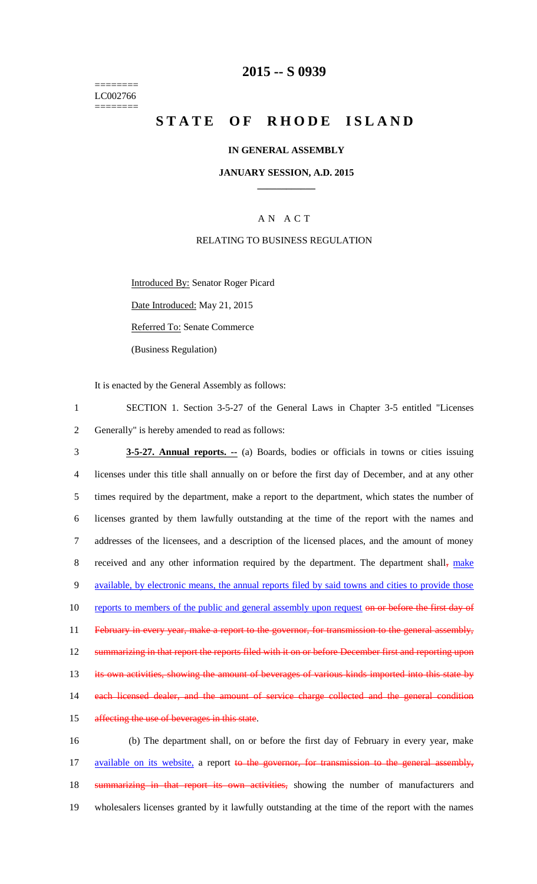======== LC002766 ========

## **2015 -- S 0939**

# **STATE OF RHODE ISLAND**

### **IN GENERAL ASSEMBLY**

### **JANUARY SESSION, A.D. 2015 \_\_\_\_\_\_\_\_\_\_\_\_**

### A N A C T

#### RELATING TO BUSINESS REGULATION

Introduced By: Senator Roger Picard

Date Introduced: May 21, 2015

Referred To: Senate Commerce

(Business Regulation)

It is enacted by the General Assembly as follows:

1 SECTION 1. Section 3-5-27 of the General Laws in Chapter 3-5 entitled "Licenses 2 Generally" is hereby amended to read as follows:

3 **3-5-27. Annual reports. --** (a) Boards, bodies or officials in towns or cities issuing 4 licenses under this title shall annually on or before the first day of December, and at any other 5 times required by the department, make a report to the department, which states the number of 6 licenses granted by them lawfully outstanding at the time of the report with the names and 7 addresses of the licensees, and a description of the licensed places, and the amount of money 8 received and any other information required by the department. The department shall, make 9 available, by electronic means, the annual reports filed by said towns and cities to provide those 10 reports to members of the public and general assembly upon request on or before the first day of 11 February in every year, make a report to the governor, for transmission to the general assembly, 12 summarizing in that report the reports filed with it on or before December first and reporting upon 13 its own activities, showing the amount of beverages of various kinds imported into this state by 14 each licensed dealer, and the amount of service charge collected and the general condition 15 affecting the use of beverages in this state. 16 (b) The department shall, on or before the first day of February in every year, make

17 available on its website, a report to the governor, for transmission to the general assembly, 18 summarizing in that report its own activities, showing the number of manufacturers and 19 wholesalers licenses granted by it lawfully outstanding at the time of the report with the names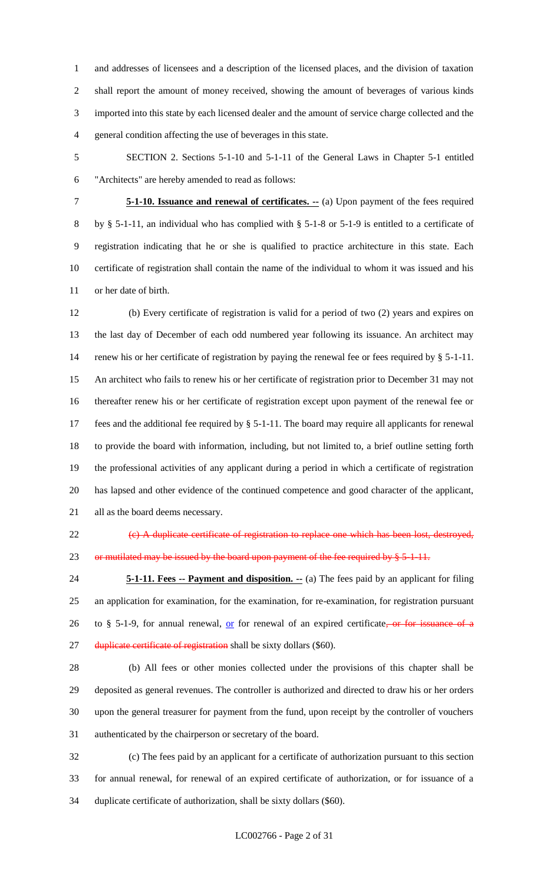and addresses of licensees and a description of the licensed places, and the division of taxation shall report the amount of money received, showing the amount of beverages of various kinds imported into this state by each licensed dealer and the amount of service charge collected and the general condition affecting the use of beverages in this state.

 SECTION 2. Sections 5-1-10 and 5-1-11 of the General Laws in Chapter 5-1 entitled "Architects" are hereby amended to read as follows:

 **5-1-10. Issuance and renewal of certificates. --** (a) Upon payment of the fees required by § 5-1-11, an individual who has complied with § 5-1-8 or 5-1-9 is entitled to a certificate of registration indicating that he or she is qualified to practice architecture in this state. Each certificate of registration shall contain the name of the individual to whom it was issued and his or her date of birth.

 (b) Every certificate of registration is valid for a period of two (2) years and expires on the last day of December of each odd numbered year following its issuance. An architect may 14 renew his or her certificate of registration by paying the renewal fee or fees required by § 5-1-11. An architect who fails to renew his or her certificate of registration prior to December 31 may not thereafter renew his or her certificate of registration except upon payment of the renewal fee or fees and the additional fee required by § 5-1-11. The board may require all applicants for renewal to provide the board with information, including, but not limited to, a brief outline setting forth the professional activities of any applicant during a period in which a certificate of registration has lapsed and other evidence of the continued competence and good character of the applicant, all as the board deems necessary.

 (c) A duplicate certificate of registration to replace one which has been lost, destroyed, 23 or mutilated may be issued by the board upon payment of the fee required by  $\S 5-1-11$ .

 **5-1-11. Fees -- Payment and disposition. --** (a) The fees paid by an applicant for filing an application for examination, for the examination, for re-examination, for registration pursuant 26 to § 5-1-9, for annual renewal,  $or$  for renewal of an expired certificate, or for issuance of a 27 duplicate certificate of registration shall be sixty dollars (\$60).

 (b) All fees or other monies collected under the provisions of this chapter shall be deposited as general revenues. The controller is authorized and directed to draw his or her orders upon the general treasurer for payment from the fund, upon receipt by the controller of vouchers authenticated by the chairperson or secretary of the board.

 (c) The fees paid by an applicant for a certificate of authorization pursuant to this section for annual renewal, for renewal of an expired certificate of authorization, or for issuance of a duplicate certificate of authorization, shall be sixty dollars (\$60).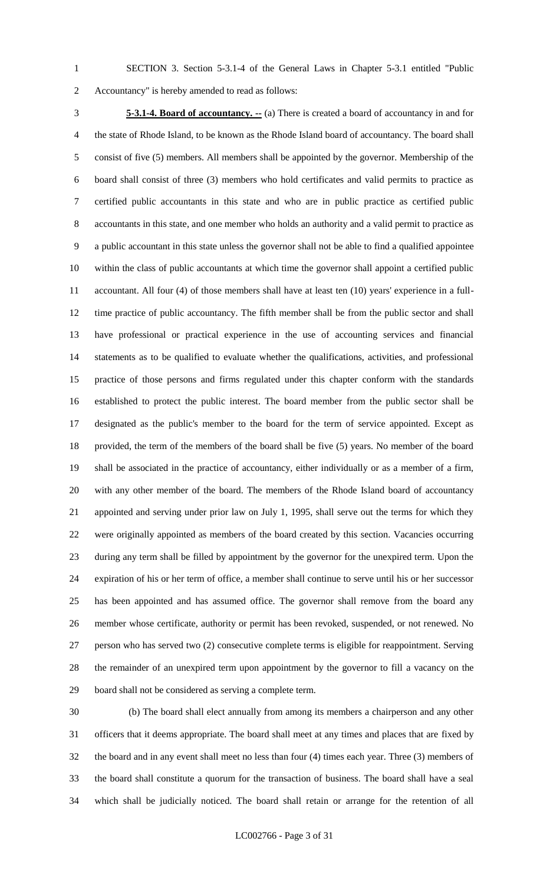SECTION 3. Section 5-3.1-4 of the General Laws in Chapter 5-3.1 entitled "Public Accountancy" is hereby amended to read as follows:

 **5-3.1-4. Board of accountancy. --** (a) There is created a board of accountancy in and for the state of Rhode Island, to be known as the Rhode Island board of accountancy. The board shall consist of five (5) members. All members shall be appointed by the governor. Membership of the board shall consist of three (3) members who hold certificates and valid permits to practice as certified public accountants in this state and who are in public practice as certified public accountants in this state, and one member who holds an authority and a valid permit to practice as a public accountant in this state unless the governor shall not be able to find a qualified appointee within the class of public accountants at which time the governor shall appoint a certified public accountant. All four (4) of those members shall have at least ten (10) years' experience in a full- time practice of public accountancy. The fifth member shall be from the public sector and shall have professional or practical experience in the use of accounting services and financial statements as to be qualified to evaluate whether the qualifications, activities, and professional practice of those persons and firms regulated under this chapter conform with the standards established to protect the public interest. The board member from the public sector shall be designated as the public's member to the board for the term of service appointed. Except as provided, the term of the members of the board shall be five (5) years. No member of the board shall be associated in the practice of accountancy, either individually or as a member of a firm, with any other member of the board. The members of the Rhode Island board of accountancy appointed and serving under prior law on July 1, 1995, shall serve out the terms for which they were originally appointed as members of the board created by this section. Vacancies occurring during any term shall be filled by appointment by the governor for the unexpired term. Upon the expiration of his or her term of office, a member shall continue to serve until his or her successor has been appointed and has assumed office. The governor shall remove from the board any member whose certificate, authority or permit has been revoked, suspended, or not renewed. No person who has served two (2) consecutive complete terms is eligible for reappointment. Serving the remainder of an unexpired term upon appointment by the governor to fill a vacancy on the board shall not be considered as serving a complete term.

 (b) The board shall elect annually from among its members a chairperson and any other officers that it deems appropriate. The board shall meet at any times and places that are fixed by the board and in any event shall meet no less than four (4) times each year. Three (3) members of the board shall constitute a quorum for the transaction of business. The board shall have a seal which shall be judicially noticed. The board shall retain or arrange for the retention of all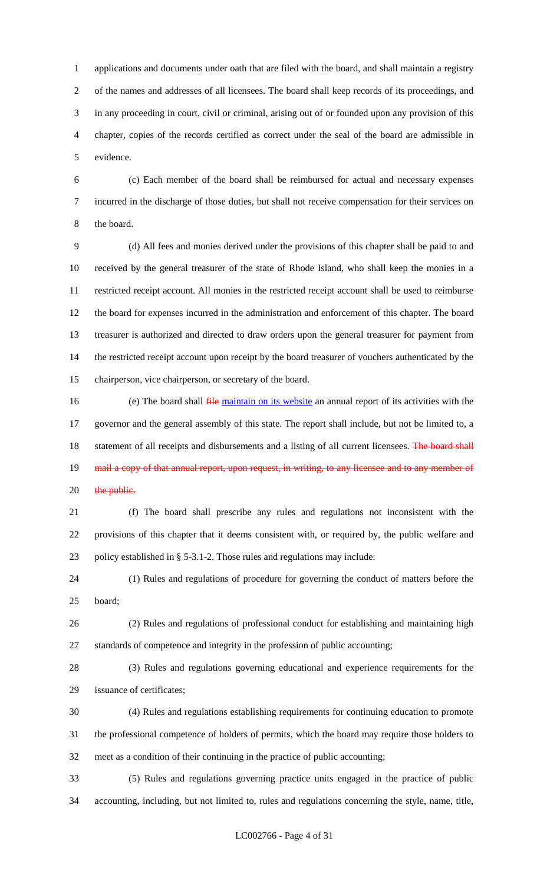applications and documents under oath that are filed with the board, and shall maintain a registry of the names and addresses of all licensees. The board shall keep records of its proceedings, and in any proceeding in court, civil or criminal, arising out of or founded upon any provision of this chapter, copies of the records certified as correct under the seal of the board are admissible in evidence.

 (c) Each member of the board shall be reimbursed for actual and necessary expenses incurred in the discharge of those duties, but shall not receive compensation for their services on the board.

 (d) All fees and monies derived under the provisions of this chapter shall be paid to and received by the general treasurer of the state of Rhode Island, who shall keep the monies in a restricted receipt account. All monies in the restricted receipt account shall be used to reimburse the board for expenses incurred in the administration and enforcement of this chapter. The board treasurer is authorized and directed to draw orders upon the general treasurer for payment from the restricted receipt account upon receipt by the board treasurer of vouchers authenticated by the chairperson, vice chairperson, or secretary of the board.

16 (e) The board shall  $\frac{f}{r}$  ile maintain on its website an annual report of its activities with the governor and the general assembly of this state. The report shall include, but not be limited to, a 18 statement of all receipts and disbursements and a listing of all current licensees. The board shall 19 mail a copy of that annual report, upon request, in writing, to any licensee and to any member of 20 the public.

 (f) The board shall prescribe any rules and regulations not inconsistent with the provisions of this chapter that it deems consistent with, or required by, the public welfare and policy established in § 5-3.1-2. Those rules and regulations may include:

 (1) Rules and regulations of procedure for governing the conduct of matters before the board;

 (2) Rules and regulations of professional conduct for establishing and maintaining high standards of competence and integrity in the profession of public accounting;

 (3) Rules and regulations governing educational and experience requirements for the issuance of certificates;

 (4) Rules and regulations establishing requirements for continuing education to promote the professional competence of holders of permits, which the board may require those holders to meet as a condition of their continuing in the practice of public accounting;

 (5) Rules and regulations governing practice units engaged in the practice of public accounting, including, but not limited to, rules and regulations concerning the style, name, title,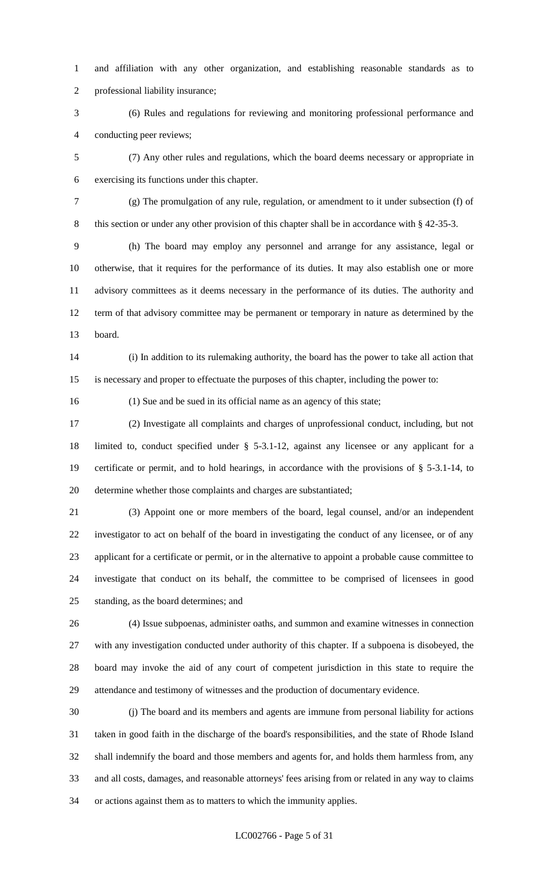and affiliation with any other organization, and establishing reasonable standards as to professional liability insurance;

 (6) Rules and regulations for reviewing and monitoring professional performance and conducting peer reviews;

 (7) Any other rules and regulations, which the board deems necessary or appropriate in exercising its functions under this chapter.

 (g) The promulgation of any rule, regulation, or amendment to it under subsection (f) of 8 this section or under any other provision of this chapter shall be in accordance with § 42-35-3.

 (h) The board may employ any personnel and arrange for any assistance, legal or otherwise, that it requires for the performance of its duties. It may also establish one or more advisory committees as it deems necessary in the performance of its duties. The authority and term of that advisory committee may be permanent or temporary in nature as determined by the board.

 (i) In addition to its rulemaking authority, the board has the power to take all action that is necessary and proper to effectuate the purposes of this chapter, including the power to:

(1) Sue and be sued in its official name as an agency of this state;

 (2) Investigate all complaints and charges of unprofessional conduct, including, but not limited to, conduct specified under § 5-3.1-12, against any licensee or any applicant for a certificate or permit, and to hold hearings, in accordance with the provisions of § 5-3.1-14, to determine whether those complaints and charges are substantiated;

 (3) Appoint one or more members of the board, legal counsel, and/or an independent investigator to act on behalf of the board in investigating the conduct of any licensee, or of any applicant for a certificate or permit, or in the alternative to appoint a probable cause committee to investigate that conduct on its behalf, the committee to be comprised of licensees in good standing, as the board determines; and

 (4) Issue subpoenas, administer oaths, and summon and examine witnesses in connection with any investigation conducted under authority of this chapter. If a subpoena is disobeyed, the board may invoke the aid of any court of competent jurisdiction in this state to require the attendance and testimony of witnesses and the production of documentary evidence.

 (j) The board and its members and agents are immune from personal liability for actions taken in good faith in the discharge of the board's responsibilities, and the state of Rhode Island shall indemnify the board and those members and agents for, and holds them harmless from, any and all costs, damages, and reasonable attorneys' fees arising from or related in any way to claims or actions against them as to matters to which the immunity applies.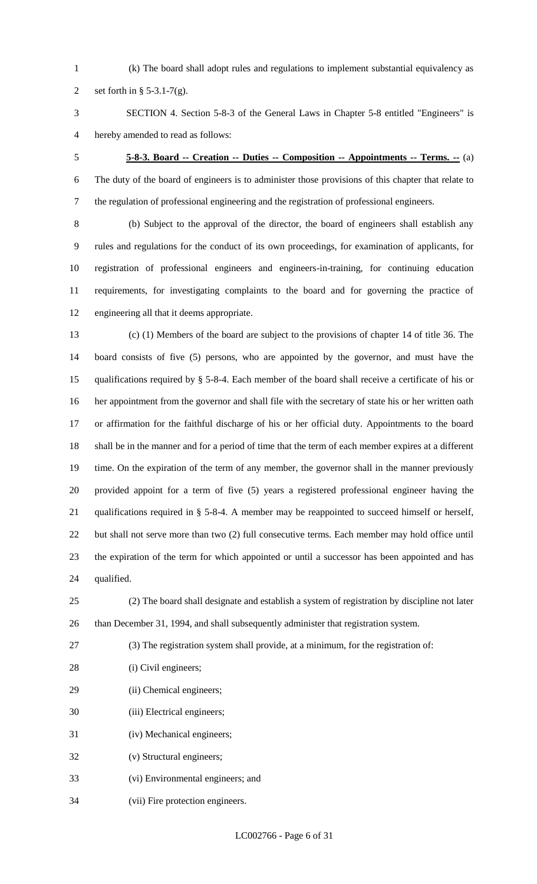(k) The board shall adopt rules and regulations to implement substantial equivalency as

2 set forth in  $\S$  5-3.1-7(g).

 SECTION 4. Section 5-8-3 of the General Laws in Chapter 5-8 entitled "Engineers" is hereby amended to read as follows:

# **5-8-3. Board -- Creation -- Duties -- Composition -- Appointments -- Terms. --** (a)

 The duty of the board of engineers is to administer those provisions of this chapter that relate to the regulation of professional engineering and the registration of professional engineers.

 (b) Subject to the approval of the director, the board of engineers shall establish any rules and regulations for the conduct of its own proceedings, for examination of applicants, for registration of professional engineers and engineers-in-training, for continuing education requirements, for investigating complaints to the board and for governing the practice of engineering all that it deems appropriate.

 (c) (1) Members of the board are subject to the provisions of chapter 14 of title 36. The board consists of five (5) persons, who are appointed by the governor, and must have the qualifications required by § 5-8-4. Each member of the board shall receive a certificate of his or her appointment from the governor and shall file with the secretary of state his or her written oath or affirmation for the faithful discharge of his or her official duty. Appointments to the board shall be in the manner and for a period of time that the term of each member expires at a different 19 time. On the expiration of the term of any member, the governor shall in the manner previously provided appoint for a term of five (5) years a registered professional engineer having the qualifications required in § 5-8-4. A member may be reappointed to succeed himself or herself, but shall not serve more than two (2) full consecutive terms. Each member may hold office until the expiration of the term for which appointed or until a successor has been appointed and has qualified.

 (2) The board shall designate and establish a system of registration by discipline not later than December 31, 1994, and shall subsequently administer that registration system.

- (3) The registration system shall provide, at a minimum, for the registration of:
- 28 (i) Civil engineers;
- (ii) Chemical engineers;
- (iii) Electrical engineers;
- (iv) Mechanical engineers;
- (v) Structural engineers;
- (vi) Environmental engineers; and
- (vii) Fire protection engineers.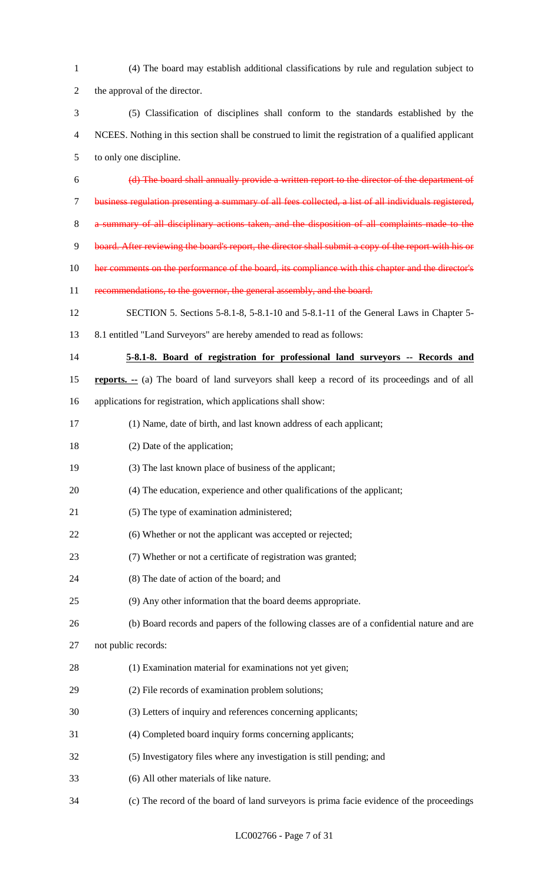| $\mathbf{1}$   | (4) The board may establish additional classifications by rule and regulation subject to              |
|----------------|-------------------------------------------------------------------------------------------------------|
| $\overline{2}$ | the approval of the director.                                                                         |
| 3              | (5) Classification of disciplines shall conform to the standards established by the                   |
| $\overline{4}$ | NCEES. Nothing in this section shall be construed to limit the registration of a qualified applicant  |
| $\mathfrak{S}$ | to only one discipline.                                                                               |
| 6              | (d) The board shall annually provide a written report to the director of the department of            |
| $\tau$         | business regulation presenting a summary of all fees collected, a list of all individuals registered, |
| 8              | a summary of all disciplinary actions taken, and the disposition of all complaints made to the        |
| 9              | board. After reviewing the board's report, the director shall submit a copy of the report with his or |
| 10             | her comments on the performance of the board, its compliance with this chapter and the director's     |
| 11             | recommendations, to the governor, the general assembly, and the board.                                |
| 12             | SECTION 5. Sections 5-8.1-8, 5-8.1-10 and 5-8.1-11 of the General Laws in Chapter 5-                  |
| 13             | 8.1 entitled "Land Surveyors" are hereby amended to read as follows:                                  |
| 14             | 5-8.1-8. Board of registration for professional land surveyors -- Records and                         |
| 15             | <b>reports.</b> -- (a) The board of land surveyors shall keep a record of its proceedings and of all  |
| 16             | applications for registration, which applications shall show:                                         |
| 17             | (1) Name, date of birth, and last known address of each applicant;                                    |
| 18             | (2) Date of the application;                                                                          |
| 19             | (3) The last known place of business of the applicant;                                                |
| 20             | (4) The education, experience and other qualifications of the applicant;                              |
| 21             | (5) The type of examination administered;                                                             |
| 22             | (6) Whether or not the applicant was accepted or rejected;                                            |
| 23             | (7) Whether or not a certificate of registration was granted;                                         |
| 24             | (8) The date of action of the board; and                                                              |
| 25             | (9) Any other information that the board deems appropriate.                                           |
| 26             | (b) Board records and papers of the following classes are of a confidential nature and are            |
| 27             | not public records:                                                                                   |
| 28             | (1) Examination material for examinations not yet given;                                              |
| 29             | (2) File records of examination problem solutions;                                                    |
| 30             | (3) Letters of inquiry and references concerning applicants;                                          |
| 31             | (4) Completed board inquiry forms concerning applicants;                                              |
| 32             | (5) Investigatory files where any investigation is still pending; and                                 |
| 33             | (6) All other materials of like nature.                                                               |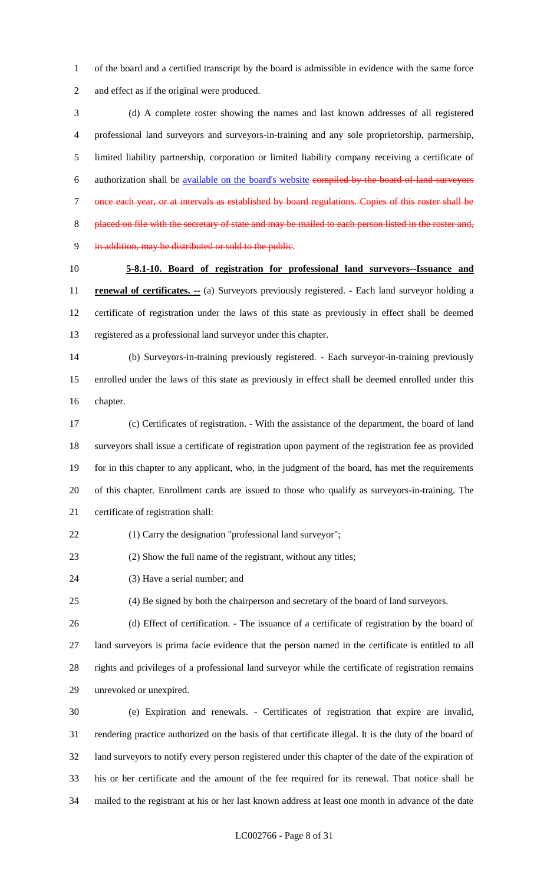of the board and a certified transcript by the board is admissible in evidence with the same force and effect as if the original were produced.

 (d) A complete roster showing the names and last known addresses of all registered professional land surveyors and surveyors-in-training and any sole proprietorship, partnership, limited liability partnership, corporation or limited liability company receiving a certificate of authorization shall be available on the board's website compiled by the board of land surveyors once each year, or at intervals as established by board regulations. Copies of this roster shall be placed on file with the secretary of state and may be mailed to each person listed in the roster and, in addition, may be distributed or sold to the public.

# **5-8.1-10. Board of registration for professional land surveyors--Issuance and**

**renewal of certificates.** -- (a) Surveyors previously registered. - Each land surveyor holding a certificate of registration under the laws of this state as previously in effect shall be deemed registered as a professional land surveyor under this chapter.

 (b) Surveyors-in-training previously registered. - Each surveyor-in-training previously enrolled under the laws of this state as previously in effect shall be deemed enrolled under this chapter.

 (c) Certificates of registration. - With the assistance of the department, the board of land surveyors shall issue a certificate of registration upon payment of the registration fee as provided for in this chapter to any applicant, who, in the judgment of the board, has met the requirements of this chapter. Enrollment cards are issued to those who qualify as surveyors-in-training. The certificate of registration shall:

(1) Carry the designation "professional land surveyor";

(2) Show the full name of the registrant, without any titles;

(3) Have a serial number; and

(4) Be signed by both the chairperson and secretary of the board of land surveyors.

 (d) Effect of certification. - The issuance of a certificate of registration by the board of land surveyors is prima facie evidence that the person named in the certificate is entitled to all rights and privileges of a professional land surveyor while the certificate of registration remains unrevoked or unexpired.

 (e) Expiration and renewals. - Certificates of registration that expire are invalid, rendering practice authorized on the basis of that certificate illegal. It is the duty of the board of land surveyors to notify every person registered under this chapter of the date of the expiration of his or her certificate and the amount of the fee required for its renewal. That notice shall be mailed to the registrant at his or her last known address at least one month in advance of the date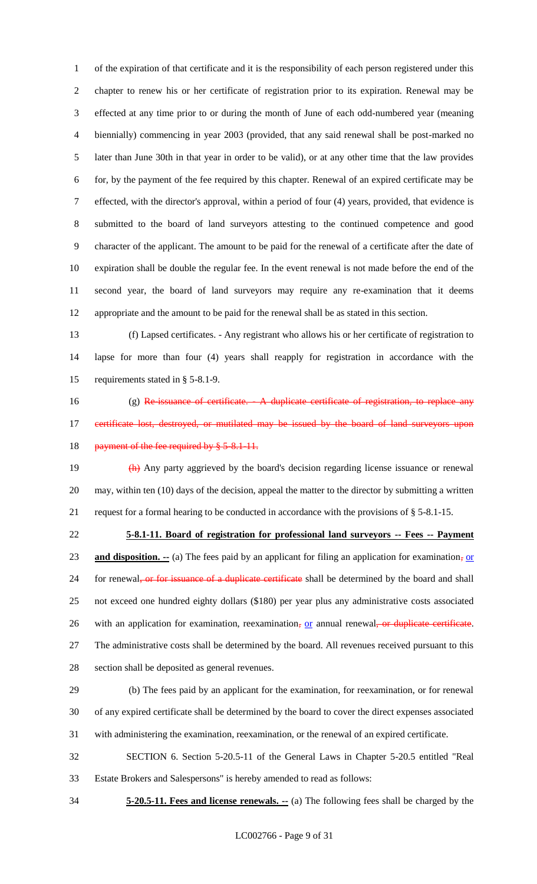of the expiration of that certificate and it is the responsibility of each person registered under this chapter to renew his or her certificate of registration prior to its expiration. Renewal may be effected at any time prior to or during the month of June of each odd-numbered year (meaning biennially) commencing in year 2003 (provided, that any said renewal shall be post-marked no later than June 30th in that year in order to be valid), or at any other time that the law provides for, by the payment of the fee required by this chapter. Renewal of an expired certificate may be effected, with the director's approval, within a period of four (4) years, provided, that evidence is submitted to the board of land surveyors attesting to the continued competence and good character of the applicant. The amount to be paid for the renewal of a certificate after the date of expiration shall be double the regular fee. In the event renewal is not made before the end of the second year, the board of land surveyors may require any re-examination that it deems appropriate and the amount to be paid for the renewal shall be as stated in this section.

 (f) Lapsed certificates. - Any registrant who allows his or her certificate of registration to lapse for more than four (4) years shall reapply for registration in accordance with the requirements stated in § 5-8.1-9.

16 (g) Re-issuance of certificate. A duplicate certificate of registration, to replace any 17 certificate lost, destroyed, or mutilated may be issued by the board of land surveyors upon 18 payment of the fee required by § 5-8.1-11.

19 (h) Any party aggrieved by the board's decision regarding license issuance or renewal may, within ten (10) days of the decision, appeal the matter to the director by submitting a written request for a formal hearing to be conducted in accordance with the provisions of § 5-8.1-15.

 **5-8.1-11. Board of registration for professional land surveyors -- Fees -- Payment and disposition.** -- (a) The fees paid by an applicant for filing an application for examination, or 24 for renewal<del>, or for issuance of a duplicate certificate</del> shall be determined by the board and shall not exceed one hundred eighty dollars (\$180) per year plus any administrative costs associated 26 with an application for examination, reexamination, or annual renewal, or duplicate certificate. The administrative costs shall be determined by the board. All revenues received pursuant to this section shall be deposited as general revenues.

 (b) The fees paid by an applicant for the examination, for reexamination, or for renewal of any expired certificate shall be determined by the board to cover the direct expenses associated with administering the examination, reexamination, or the renewal of an expired certificate.

 SECTION 6. Section 5-20.5-11 of the General Laws in Chapter 5-20.5 entitled "Real Estate Brokers and Salespersons" is hereby amended to read as follows:

**5-20.5-11. Fees and license renewals. --** (a) The following fees shall be charged by the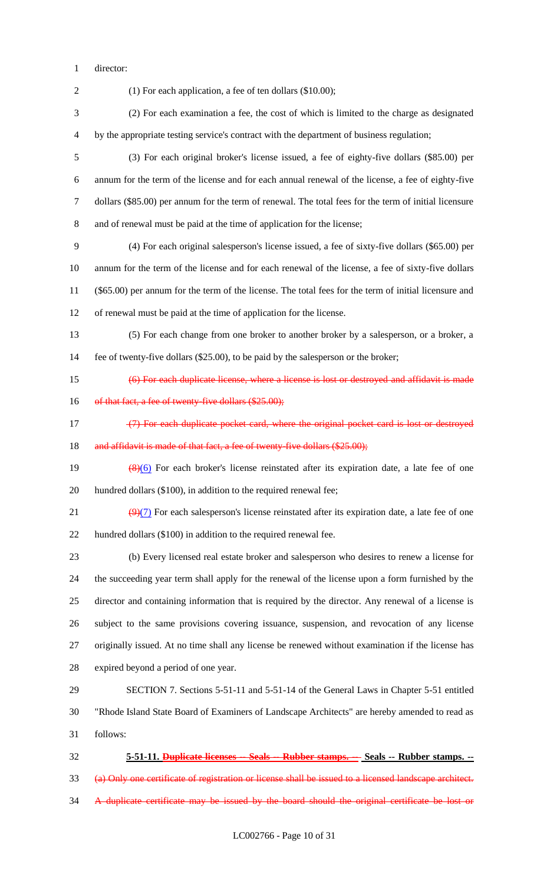director:

(1) For each application, a fee of ten dollars (\$10.00);

 (2) For each examination a fee, the cost of which is limited to the charge as designated by the appropriate testing service's contract with the department of business regulation;

 (3) For each original broker's license issued, a fee of eighty-five dollars (\$85.00) per annum for the term of the license and for each annual renewal of the license, a fee of eighty-five dollars (\$85.00) per annum for the term of renewal. The total fees for the term of initial licensure and of renewal must be paid at the time of application for the license;

 (4) For each original salesperson's license issued, a fee of sixty-five dollars (\$65.00) per annum for the term of the license and for each renewal of the license, a fee of sixty-five dollars (\$65.00) per annum for the term of the license. The total fees for the term of initial licensure and of renewal must be paid at the time of application for the license.

 (5) For each change from one broker to another broker by a salesperson, or a broker, a fee of twenty-five dollars (\$25.00), to be paid by the salesperson or the broker;

15 (6) For each duplicate license, where a license is lost or destroyed and affidavit is made

16 of that fact, a fee of twenty-five dollars (\$25.00);

17 (7) For each duplicate pocket card, where the original pocket card is lost or destroyed 18 and affidavit is made of that fact, a fee of twenty-five dollars (\$25.00);

19  $\left(\frac{8}{6}\right)$  For each broker's license reinstated after its expiration date, a late fee of one 20 hundred dollars (\$100), in addition to the required renewal fee;

21  $(9)(7)$  For each salesperson's license reinstated after its expiration date, a late fee of one hundred dollars (\$100) in addition to the required renewal fee.

 (b) Every licensed real estate broker and salesperson who desires to renew a license for the succeeding year term shall apply for the renewal of the license upon a form furnished by the director and containing information that is required by the director. Any renewal of a license is subject to the same provisions covering issuance, suspension, and revocation of any license originally issued. At no time shall any license be renewed without examination if the license has expired beyond a period of one year.

 SECTION 7. Sections 5-51-11 and 5-51-14 of the General Laws in Chapter 5-51 entitled "Rhode Island State Board of Examiners of Landscape Architects" are hereby amended to read as follows:

 **5-51-11. Duplicate licenses -- Seals -- Rubber stamps. -- Seals -- Rubber stamps. --** (a) Only one certificate of registration or license shall be issued to a licensed landscape architect. A duplicate certificate may be issued by the board should the original certificate be lost or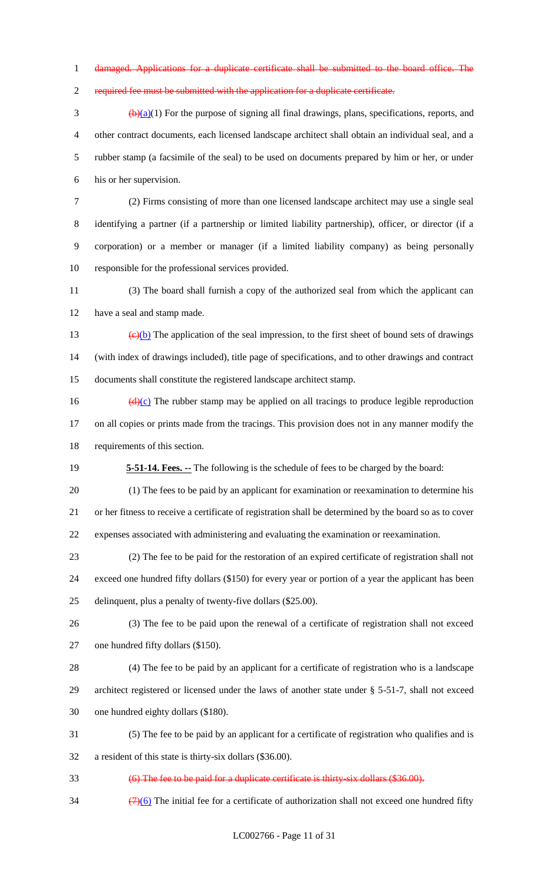damaged. Applications for a duplicate certificate shall be submitted to the board office. The

required fee must be submitted with the application for a duplicate certificate.

 $\frac{(\mathbf{b})(\mathbf{a})}{(1)}$  For the purpose of signing all final drawings, plans, specifications, reports, and other contract documents, each licensed landscape architect shall obtain an individual seal, and a rubber stamp (a facsimile of the seal) to be used on documents prepared by him or her, or under his or her supervision.

 (2) Firms consisting of more than one licensed landscape architect may use a single seal identifying a partner (if a partnership or limited liability partnership), officer, or director (if a corporation) or a member or manager (if a limited liability company) as being personally responsible for the professional services provided.

 (3) The board shall furnish a copy of the authorized seal from which the applicant can have a seal and stamp made.

13  $\left(\frac{e}{b}\right)$  The application of the seal impression, to the first sheet of bound sets of drawings (with index of drawings included), title page of specifications, and to other drawings and contract documents shall constitute the registered landscape architect stamp.

16  $(d)(c)$  The rubber stamp may be applied on all tracings to produce legible reproduction on all copies or prints made from the tracings. This provision does not in any manner modify the requirements of this section.

**5-51-14. Fees. --** The following is the schedule of fees to be charged by the board:

 (1) The fees to be paid by an applicant for examination or reexamination to determine his or her fitness to receive a certificate of registration shall be determined by the board so as to cover expenses associated with administering and evaluating the examination or reexamination.

 (2) The fee to be paid for the restoration of an expired certificate of registration shall not exceed one hundred fifty dollars (\$150) for every year or portion of a year the applicant has been

delinquent, plus a penalty of twenty-five dollars (\$25.00).

 (3) The fee to be paid upon the renewal of a certificate of registration shall not exceed one hundred fifty dollars (\$150).

 (4) The fee to be paid by an applicant for a certificate of registration who is a landscape architect registered or licensed under the laws of another state under § 5-51-7, shall not exceed one hundred eighty dollars (\$180).

 (5) The fee to be paid by an applicant for a certificate of registration who qualifies and is a resident of this state is thirty-six dollars (\$36.00).

(6) The fee to be paid for a duplicate certificate is thirty-six dollars (\$36.00).

 $\frac{(7)(6)}{11}$  The initial fee for a certificate of authorization shall not exceed one hundred fifty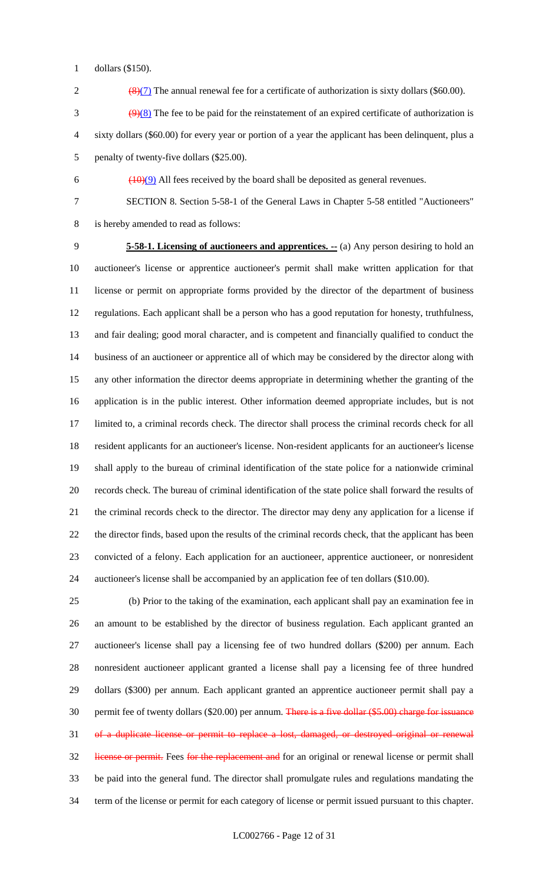dollars (\$150).

2  $\frac{8}{12}$  The annual renewal fee for a certificate of authorization is sixty dollars (\$60.00).

 $\frac{9(8)}{2}$  The fee to be paid for the reinstatement of an expired certificate of authorization is sixty dollars (\$60.00) for every year or portion of a year the applicant has been delinquent, plus a penalty of twenty-five dollars (\$25.00).

6  $(10)(9)$  All fees received by the board shall be deposited as general revenues.

SECTION 8. Section 5-58-1 of the General Laws in Chapter 5-58 entitled "Auctioneers"

is hereby amended to read as follows:

 **5-58-1. Licensing of auctioneers and apprentices. --** (a) Any person desiring to hold an auctioneer's license or apprentice auctioneer's permit shall make written application for that license or permit on appropriate forms provided by the director of the department of business regulations. Each applicant shall be a person who has a good reputation for honesty, truthfulness, and fair dealing; good moral character, and is competent and financially qualified to conduct the business of an auctioneer or apprentice all of which may be considered by the director along with any other information the director deems appropriate in determining whether the granting of the application is in the public interest. Other information deemed appropriate includes, but is not limited to, a criminal records check. The director shall process the criminal records check for all resident applicants for an auctioneer's license. Non-resident applicants for an auctioneer's license shall apply to the bureau of criminal identification of the state police for a nationwide criminal records check. The bureau of criminal identification of the state police shall forward the results of the criminal records check to the director. The director may deny any application for a license if the director finds, based upon the results of the criminal records check, that the applicant has been convicted of a felony. Each application for an auctioneer, apprentice auctioneer, or nonresident auctioneer's license shall be accompanied by an application fee of ten dollars (\$10.00).

 (b) Prior to the taking of the examination, each applicant shall pay an examination fee in an amount to be established by the director of business regulation. Each applicant granted an auctioneer's license shall pay a licensing fee of two hundred dollars (\$200) per annum. Each nonresident auctioneer applicant granted a license shall pay a licensing fee of three hundred dollars (\$300) per annum. Each applicant granted an apprentice auctioneer permit shall pay a 30 permit fee of twenty dollars (\$20.00) per annum. There is a five dollar (\$5.00) charge for issuance of a duplicate license or permit to replace a lost, damaged, or destroyed original or renewal 32 license or permit. Fees for the replacement and for an original or renewal license or permit shall be paid into the general fund. The director shall promulgate rules and regulations mandating the term of the license or permit for each category of license or permit issued pursuant to this chapter.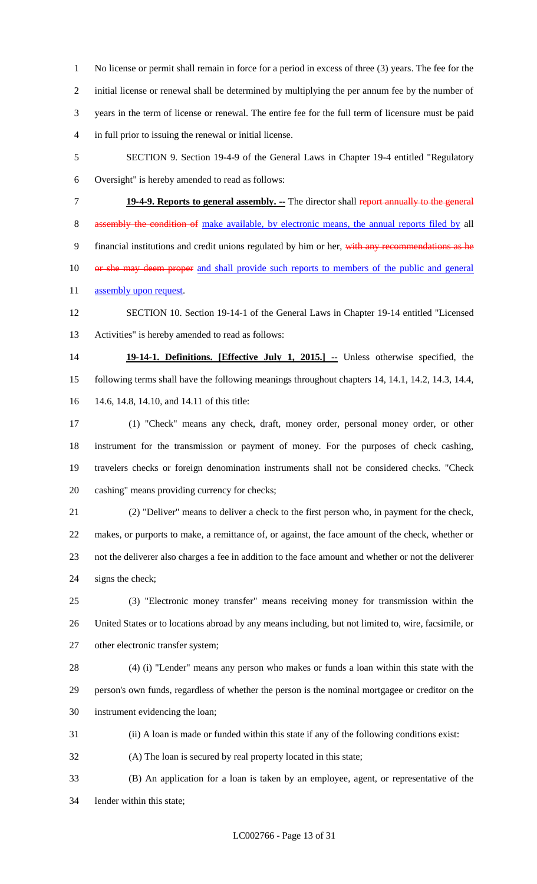No license or permit shall remain in force for a period in excess of three (3) years. The fee for the initial license or renewal shall be determined by multiplying the per annum fee by the number of years in the term of license or renewal. The entire fee for the full term of licensure must be paid in full prior to issuing the renewal or initial license.

- SECTION 9. Section 19-4-9 of the General Laws in Chapter 19-4 entitled "Regulatory
- Oversight" is hereby amended to read as follows:
- 

 **19-4-9. Reports to general assembly. --** The director shall report annually to the general 8 assembly the condition of make available, by electronic means, the annual reports filed by all

9 financial institutions and credit unions regulated by him or her, with any recommendations as he

10 or she may deem proper and shall provide such reports to members of the public and general

- 11 assembly upon request.
- SECTION 10. Section 19-14-1 of the General Laws in Chapter 19-14 entitled "Licensed Activities" is hereby amended to read as follows:

 **19-14-1. Definitions. [Effective July 1, 2015.] --** Unless otherwise specified, the following terms shall have the following meanings throughout chapters 14, 14.1, 14.2, 14.3, 14.4, 14.6, 14.8, 14.10, and 14.11 of this title:

 (1) "Check" means any check, draft, money order, personal money order, or other instrument for the transmission or payment of money. For the purposes of check cashing, travelers checks or foreign denomination instruments shall not be considered checks. "Check cashing" means providing currency for checks;

 (2) "Deliver" means to deliver a check to the first person who, in payment for the check, makes, or purports to make, a remittance of, or against, the face amount of the check, whether or not the deliverer also charges a fee in addition to the face amount and whether or not the deliverer signs the check;

 (3) "Electronic money transfer" means receiving money for transmission within the United States or to locations abroad by any means including, but not limited to, wire, facsimile, or 27 other electronic transfer system;

 (4) (i) "Lender" means any person who makes or funds a loan within this state with the person's own funds, regardless of whether the person is the nominal mortgagee or creditor on the instrument evidencing the loan;

- (ii) A loan is made or funded within this state if any of the following conditions exist:
- (A) The loan is secured by real property located in this state;
- (B) An application for a loan is taken by an employee, agent, or representative of the lender within this state;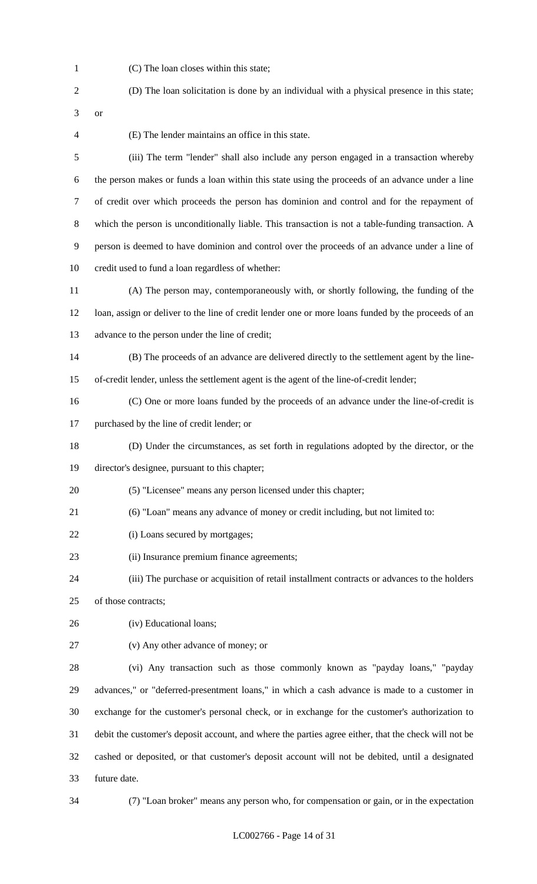(C) The loan closes within this state;

 (D) The loan solicitation is done by an individual with a physical presence in this state; or

(E) The lender maintains an office in this state.

 (iii) The term "lender" shall also include any person engaged in a transaction whereby the person makes or funds a loan within this state using the proceeds of an advance under a line of credit over which proceeds the person has dominion and control and for the repayment of which the person is unconditionally liable. This transaction is not a table-funding transaction. A person is deemed to have dominion and control over the proceeds of an advance under a line of credit used to fund a loan regardless of whether:

 (A) The person may, contemporaneously with, or shortly following, the funding of the loan, assign or deliver to the line of credit lender one or more loans funded by the proceeds of an advance to the person under the line of credit;

 (B) The proceeds of an advance are delivered directly to the settlement agent by the line-of-credit lender, unless the settlement agent is the agent of the line-of-credit lender;

 (C) One or more loans funded by the proceeds of an advance under the line-of-credit is purchased by the line of credit lender; or

(D) Under the circumstances, as set forth in regulations adopted by the director, or the

director's designee, pursuant to this chapter;

- (5) "Licensee" means any person licensed under this chapter;
- (6) "Loan" means any advance of money or credit including, but not limited to:
- 22 (i) Loans secured by mortgages;
- (ii) Insurance premium finance agreements;
- (iii) The purchase or acquisition of retail installment contracts or advances to the holders

of those contracts;

- (iv) Educational loans;
- (v) Any other advance of money; or

 (vi) Any transaction such as those commonly known as "payday loans," "payday advances," or "deferred-presentment loans," in which a cash advance is made to a customer in exchange for the customer's personal check, or in exchange for the customer's authorization to debit the customer's deposit account, and where the parties agree either, that the check will not be cashed or deposited, or that customer's deposit account will not be debited, until a designated future date.

(7) "Loan broker" means any person who, for compensation or gain, or in the expectation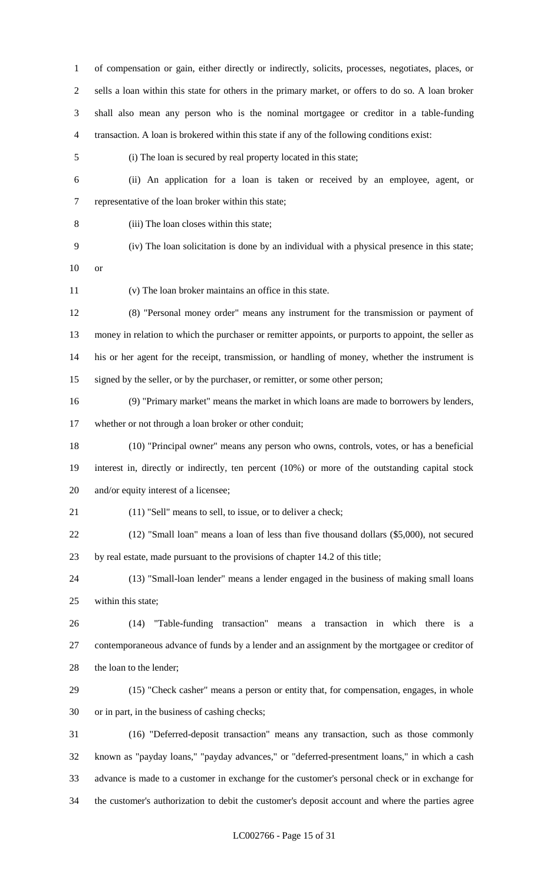of compensation or gain, either directly or indirectly, solicits, processes, negotiates, places, or sells a loan within this state for others in the primary market, or offers to do so. A loan broker shall also mean any person who is the nominal mortgagee or creditor in a table-funding transaction. A loan is brokered within this state if any of the following conditions exist:

(i) The loan is secured by real property located in this state;

- (ii) An application for a loan is taken or received by an employee, agent, or representative of the loan broker within this state;
- 

(iii) The loan closes within this state;

- (iv) The loan solicitation is done by an individual with a physical presence in this state;
- or

(v) The loan broker maintains an office in this state.

 (8) "Personal money order" means any instrument for the transmission or payment of money in relation to which the purchaser or remitter appoints, or purports to appoint, the seller as his or her agent for the receipt, transmission, or handling of money, whether the instrument is signed by the seller, or by the purchaser, or remitter, or some other person;

 (9) "Primary market" means the market in which loans are made to borrowers by lenders, whether or not through a loan broker or other conduit;

 (10) "Principal owner" means any person who owns, controls, votes, or has a beneficial interest in, directly or indirectly, ten percent (10%) or more of the outstanding capital stock and/or equity interest of a licensee;

- (11) "Sell" means to sell, to issue, or to deliver a check;
- (12) "Small loan" means a loan of less than five thousand dollars (\$5,000), not secured by real estate, made pursuant to the provisions of chapter 14.2 of this title;

 (13) "Small-loan lender" means a lender engaged in the business of making small loans within this state;

 (14) "Table-funding transaction" means a transaction in which there is a contemporaneous advance of funds by a lender and an assignment by the mortgagee or creditor of 28 the loan to the lender;

- (15) "Check casher" means a person or entity that, for compensation, engages, in whole or in part, in the business of cashing checks;
- (16) "Deferred-deposit transaction" means any transaction, such as those commonly known as "payday loans," "payday advances," or "deferred-presentment loans," in which a cash advance is made to a customer in exchange for the customer's personal check or in exchange for the customer's authorization to debit the customer's deposit account and where the parties agree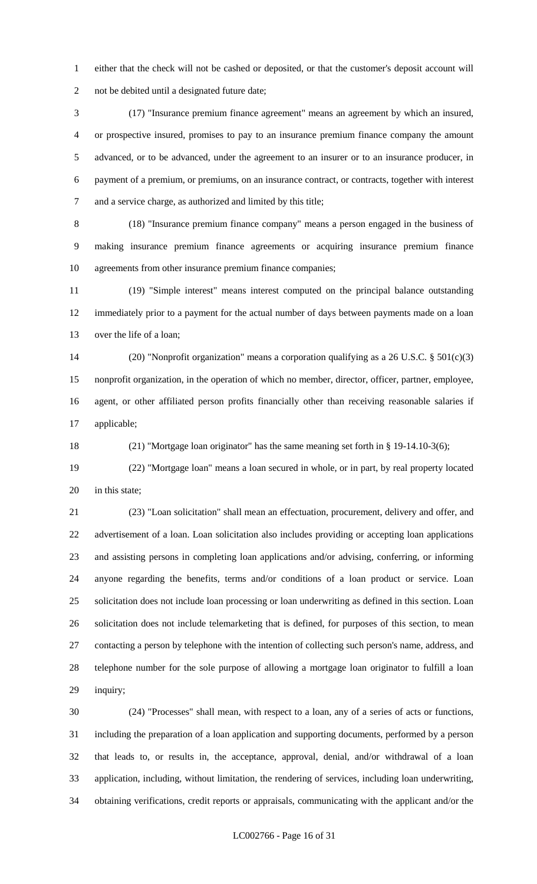either that the check will not be cashed or deposited, or that the customer's deposit account will not be debited until a designated future date;

 (17) "Insurance premium finance agreement" means an agreement by which an insured, or prospective insured, promises to pay to an insurance premium finance company the amount advanced, or to be advanced, under the agreement to an insurer or to an insurance producer, in payment of a premium, or premiums, on an insurance contract, or contracts, together with interest and a service charge, as authorized and limited by this title;

 (18) "Insurance premium finance company" means a person engaged in the business of making insurance premium finance agreements or acquiring insurance premium finance agreements from other insurance premium finance companies;

 (19) "Simple interest" means interest computed on the principal balance outstanding immediately prior to a payment for the actual number of days between payments made on a loan over the life of a loan;

 (20) "Nonprofit organization" means a corporation qualifying as a 26 U.S.C. § 501(c)(3) nonprofit organization, in the operation of which no member, director, officer, partner, employee, agent, or other affiliated person profits financially other than receiving reasonable salaries if applicable;

(21) "Mortgage loan originator" has the same meaning set forth in § 19-14.10-3(6);

 (22) "Mortgage loan" means a loan secured in whole, or in part, by real property located 20 in this state;

 (23) "Loan solicitation" shall mean an effectuation, procurement, delivery and offer, and advertisement of a loan. Loan solicitation also includes providing or accepting loan applications and assisting persons in completing loan applications and/or advising, conferring, or informing anyone regarding the benefits, terms and/or conditions of a loan product or service. Loan solicitation does not include loan processing or loan underwriting as defined in this section. Loan solicitation does not include telemarketing that is defined, for purposes of this section, to mean contacting a person by telephone with the intention of collecting such person's name, address, and telephone number for the sole purpose of allowing a mortgage loan originator to fulfill a loan inquiry;

 (24) "Processes" shall mean, with respect to a loan, any of a series of acts or functions, including the preparation of a loan application and supporting documents, performed by a person that leads to, or results in, the acceptance, approval, denial, and/or withdrawal of a loan application, including, without limitation, the rendering of services, including loan underwriting, obtaining verifications, credit reports or appraisals, communicating with the applicant and/or the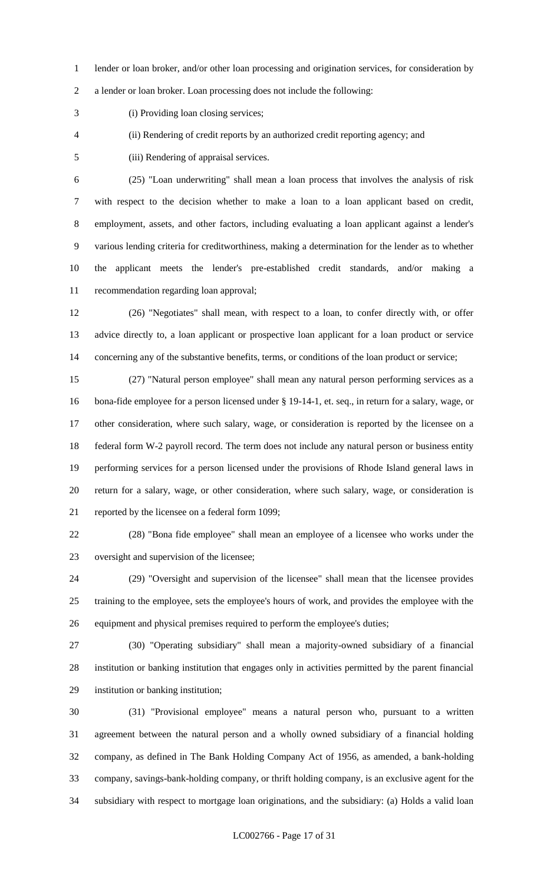lender or loan broker, and/or other loan processing and origination services, for consideration by

a lender or loan broker. Loan processing does not include the following:

(i) Providing loan closing services;

(ii) Rendering of credit reports by an authorized credit reporting agency; and

(iii) Rendering of appraisal services.

 (25) "Loan underwriting" shall mean a loan process that involves the analysis of risk with respect to the decision whether to make a loan to a loan applicant based on credit, employment, assets, and other factors, including evaluating a loan applicant against a lender's various lending criteria for creditworthiness, making a determination for the lender as to whether the applicant meets the lender's pre-established credit standards, and/or making a recommendation regarding loan approval;

 (26) "Negotiates" shall mean, with respect to a loan, to confer directly with, or offer advice directly to, a loan applicant or prospective loan applicant for a loan product or service 14 concerning any of the substantive benefits, terms, or conditions of the loan product or service;

 (27) "Natural person employee" shall mean any natural person performing services as a bona-fide employee for a person licensed under § 19-14-1, et. seq., in return for a salary, wage, or other consideration, where such salary, wage, or consideration is reported by the licensee on a federal form W-2 payroll record. The term does not include any natural person or business entity performing services for a person licensed under the provisions of Rhode Island general laws in return for a salary, wage, or other consideration, where such salary, wage, or consideration is reported by the licensee on a federal form 1099;

 (28) "Bona fide employee" shall mean an employee of a licensee who works under the oversight and supervision of the licensee;

 (29) "Oversight and supervision of the licensee" shall mean that the licensee provides training to the employee, sets the employee's hours of work, and provides the employee with the equipment and physical premises required to perform the employee's duties;

 (30) "Operating subsidiary" shall mean a majority-owned subsidiary of a financial institution or banking institution that engages only in activities permitted by the parent financial institution or banking institution;

 (31) "Provisional employee" means a natural person who, pursuant to a written agreement between the natural person and a wholly owned subsidiary of a financial holding company, as defined in The Bank Holding Company Act of 1956, as amended, a bank-holding company, savings-bank-holding company, or thrift holding company, is an exclusive agent for the subsidiary with respect to mortgage loan originations, and the subsidiary: (a) Holds a valid loan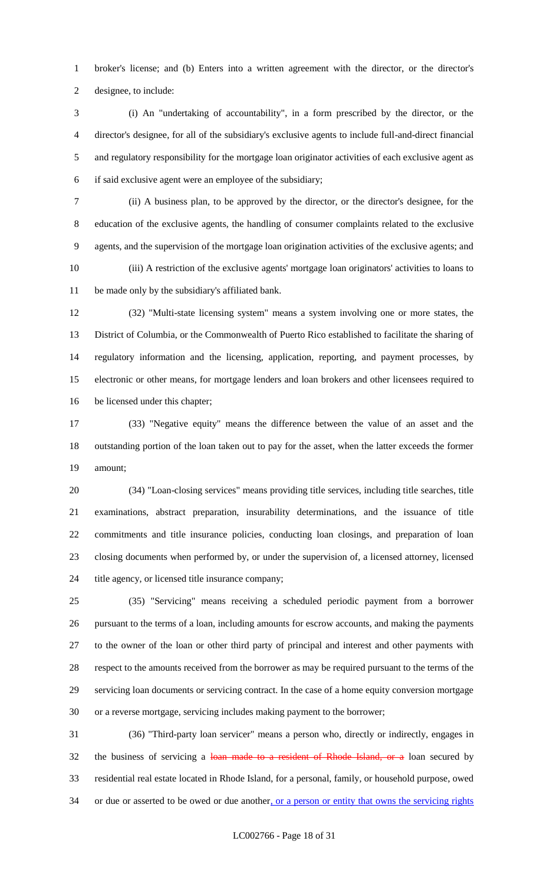broker's license; and (b) Enters into a written agreement with the director, or the director's designee, to include:

 (i) An "undertaking of accountability", in a form prescribed by the director, or the director's designee, for all of the subsidiary's exclusive agents to include full-and-direct financial and regulatory responsibility for the mortgage loan originator activities of each exclusive agent as if said exclusive agent were an employee of the subsidiary;

 (ii) A business plan, to be approved by the director, or the director's designee, for the education of the exclusive agents, the handling of consumer complaints related to the exclusive agents, and the supervision of the mortgage loan origination activities of the exclusive agents; and (iii) A restriction of the exclusive agents' mortgage loan originators' activities to loans to be made only by the subsidiary's affiliated bank.

 (32) "Multi-state licensing system" means a system involving one or more states, the District of Columbia, or the Commonwealth of Puerto Rico established to facilitate the sharing of regulatory information and the licensing, application, reporting, and payment processes, by electronic or other means, for mortgage lenders and loan brokers and other licensees required to be licensed under this chapter;

 (33) "Negative equity" means the difference between the value of an asset and the outstanding portion of the loan taken out to pay for the asset, when the latter exceeds the former amount;

 (34) "Loan-closing services" means providing title services, including title searches, title examinations, abstract preparation, insurability determinations, and the issuance of title commitments and title insurance policies, conducting loan closings, and preparation of loan closing documents when performed by, or under the supervision of, a licensed attorney, licensed title agency, or licensed title insurance company;

 (35) "Servicing" means receiving a scheduled periodic payment from a borrower pursuant to the terms of a loan, including amounts for escrow accounts, and making the payments to the owner of the loan or other third party of principal and interest and other payments with respect to the amounts received from the borrower as may be required pursuant to the terms of the servicing loan documents or servicing contract. In the case of a home equity conversion mortgage or a reverse mortgage, servicing includes making payment to the borrower;

 (36) "Third-party loan servicer" means a person who, directly or indirectly, engages in 32 the business of servicing a loan made to a resident of Rhode Island, or a loan secured by residential real estate located in Rhode Island, for a personal, family, or household purpose, owed 34 or due or asserted to be owed or due another, or a person or entity that owns the servicing rights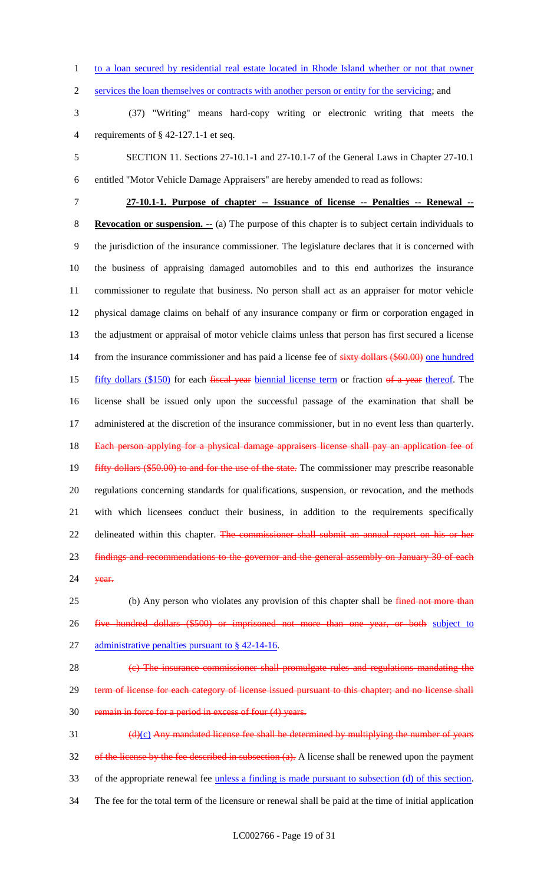to a loan secured by residential real estate located in Rhode Island whether or not that owner

2 services the loan themselves or contracts with another person or entity for the servicing; and

 (37) "Writing" means hard-copy writing or electronic writing that meets the requirements of § 42-127.1-1 et seq.

 SECTION 11. Sections 27-10.1-1 and 27-10.1-7 of the General Laws in Chapter 27-10.1 entitled "Motor Vehicle Damage Appraisers" are hereby amended to read as follows:

 **27-10.1-1. Purpose of chapter -- Issuance of license -- Penalties -- Renewal -- Revocation or suspension. --** (a) The purpose of this chapter is to subject certain individuals to the jurisdiction of the insurance commissioner. The legislature declares that it is concerned with the business of appraising damaged automobiles and to this end authorizes the insurance commissioner to regulate that business. No person shall act as an appraiser for motor vehicle physical damage claims on behalf of any insurance company or firm or corporation engaged in the adjustment or appraisal of motor vehicle claims unless that person has first secured a license 14 from the insurance commissioner and has paid a license fee of sixty dollars (\$60.00) one hundred 15 fifty dollars (\$150) for each fiscal year biennial license term or fraction of a year thereof. The license shall be issued only upon the successful passage of the examination that shall be administered at the discretion of the insurance commissioner, but in no event less than quarterly. 18 Each person applying for a physical damage appraisers license shall pay an application fee of 19 fifty dollars (\$50.00) to and for the use of the state. The commissioner may prescribe reasonable regulations concerning standards for qualifications, suspension, or revocation, and the methods with which licensees conduct their business, in addition to the requirements specifically 22 delineated within this chapter. The commissioner shall submit an annual report on his or her 23 findings and recommendations to the governor and the general assembly on January 30 of each **year.** 

25 (b) Any person who violates any provision of this chapter shall be fined not more than five hundred dollars (\$500) or imprisoned not more than one year, or both subject to 27 administrative penalties pursuant to § 42-14-16.

 (c) The insurance commissioner shall promulgate rules and regulations mandating the 29 term of license for each category of license issued pursuant to this chapter; and no license shall remain in force for a period in excess of four (4) years.

 $\frac{d(x)}{dx}$  Any mandated license fee shall be determined by multiplying the number of years 32 of the license by the fee described in subsection (a). A license shall be renewed upon the payment of the appropriate renewal fee unless a finding is made pursuant to subsection (d) of this section. The fee for the total term of the licensure or renewal shall be paid at the time of initial application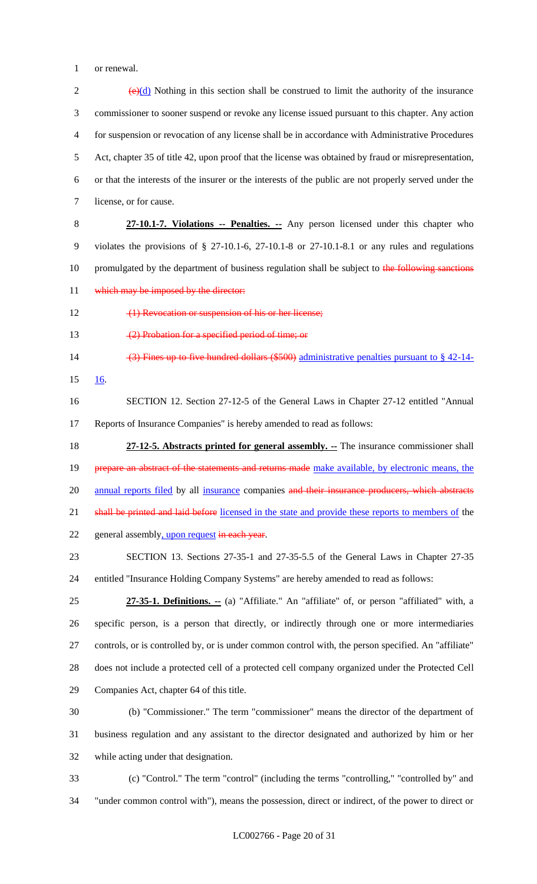or renewal.

 $(e)(d)$  Nothing in this section shall be construed to limit the authority of the insurance commissioner to sooner suspend or revoke any license issued pursuant to this chapter. Any action for suspension or revocation of any license shall be in accordance with Administrative Procedures Act, chapter 35 of title 42, upon proof that the license was obtained by fraud or misrepresentation, or that the interests of the insurer or the interests of the public are not properly served under the license, or for cause. **27-10.1-7. Violations -- Penalties. --** Any person licensed under this chapter who violates the provisions of § 27-10.1-6, 27-10.1-8 or 27-10.1-8.1 or any rules and regulations 10 promulgated by the department of business regulation shall be subject to the following sanctions 11 which may be imposed by the director: 12 (1) Revocation or suspension of his or her license; 13 (2) Probation for a specified period of time; or 14 (3) Fines up to five hundred dollars (\$500) administrative penalties pursuant to § 42-14- 16. SECTION 12. Section 27-12-5 of the General Laws in Chapter 27-12 entitled "Annual Reports of Insurance Companies" is hereby amended to read as follows: **27-12-5. Abstracts printed for general assembly. --** The insurance commissioner shall 19 prepare an abstract of the statements and returns made make available, by electronic means, the 20 annual reports filed by all insurance companies and their insurance producers, which abstracts 21 shall be printed and laid before licensed in the state and provide these reports to members of the 22 general assembly, upon request in each year. SECTION 13. Sections 27-35-1 and 27-35-5.5 of the General Laws in Chapter 27-35 entitled "Insurance Holding Company Systems" are hereby amended to read as follows: **27-35-1. Definitions. --** (a) "Affiliate." An "affiliate" of, or person "affiliated" with, a specific person, is a person that directly, or indirectly through one or more intermediaries controls, or is controlled by, or is under common control with, the person specified. An "affiliate" does not include a protected cell of a protected cell company organized under the Protected Cell Companies Act, chapter 64 of this title. (b) "Commissioner." The term "commissioner" means the director of the department of business regulation and any assistant to the director designated and authorized by him or her while acting under that designation. (c) "Control." The term "control" (including the terms "controlling," "controlled by" and

"under common control with"), means the possession, direct or indirect, of the power to direct or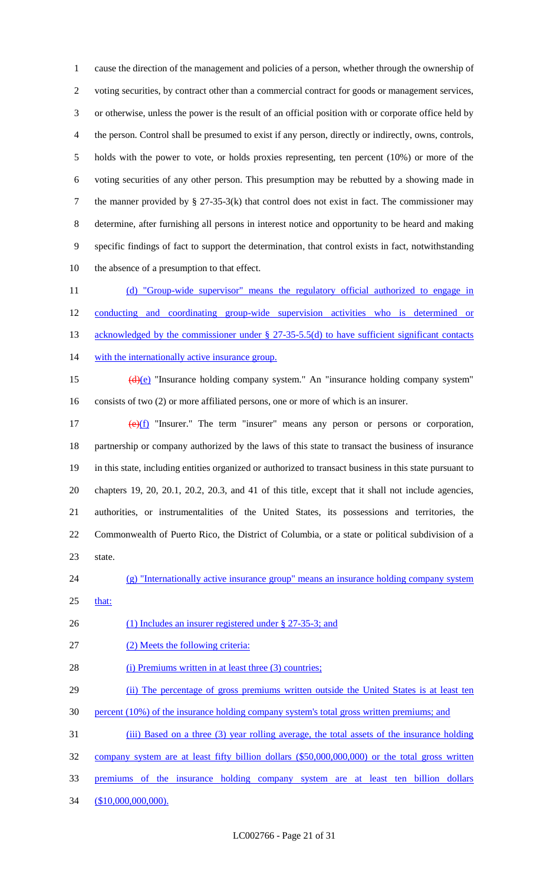cause the direction of the management and policies of a person, whether through the ownership of 2 voting securities, by contract other than a commercial contract for goods or management services, or otherwise, unless the power is the result of an official position with or corporate office held by the person. Control shall be presumed to exist if any person, directly or indirectly, owns, controls, holds with the power to vote, or holds proxies representing, ten percent (10%) or more of the voting securities of any other person. This presumption may be rebutted by a showing made in the manner provided by § 27-35-3(k) that control does not exist in fact. The commissioner may determine, after furnishing all persons in interest notice and opportunity to be heard and making specific findings of fact to support the determination, that control exists in fact, notwithstanding the absence of a presumption to that effect.

 (d) "Group-wide supervisor" means the regulatory official authorized to engage in conducting and coordinating group-wide supervision activities who is determined or 13 acknowledged by the commissioner under § 27-35-5.5(d) to have sufficient significant contacts 14 with the internationally active insurance group.

15 (d)(e) "Insurance holding company system." An "insurance holding company system" consists of two (2) or more affiliated persons, one or more of which is an insurer.

 $(e)(f)$  "Insurer." The term "insurer" means any person or persons or corporation, partnership or company authorized by the laws of this state to transact the business of insurance in this state, including entities organized or authorized to transact business in this state pursuant to chapters 19, 20, 20.1, 20.2, 20.3, and 41 of this title, except that it shall not include agencies, authorities, or instrumentalities of the United States, its possessions and territories, the Commonwealth of Puerto Rico, the District of Columbia, or a state or political subdivision of a state.

- (g) "Internationally active insurance group" means an insurance holding company system
- that:

26 (1) Includes an insurer registered under § 27-35-3; and

(2) Meets the following criteria:

28 (i) Premiums written in at least three (3) countries;

29 (ii) The percentage of gross premiums written outside the United States is at least ten

- percent (10%) of the insurance holding company system's total gross written premiums; and
- 31 (iii) Based on a three (3) year rolling average, the total assets of the insurance holding

company system are at least fifty billion dollars (\$50,000,000,000) or the total gross written

- premiums of the insurance holding company system are at least ten billion dollars
- 34 (\$10,000,000,000).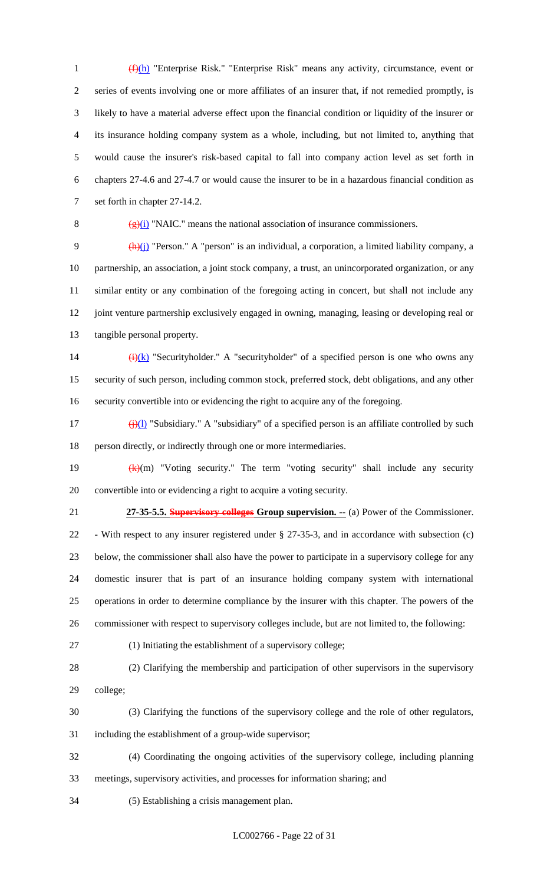(f)(h) "Enterprise Risk." "Enterprise Risk" means any activity, circumstance, event or series of events involving one or more affiliates of an insurer that, if not remedied promptly, is likely to have a material adverse effect upon the financial condition or liquidity of the insurer or its insurance holding company system as a whole, including, but not limited to, anything that would cause the insurer's risk-based capital to fall into company action level as set forth in chapters 27-4.6 and 27-4.7 or would cause the insurer to be in a hazardous financial condition as set forth in chapter 27-14.2.

8  $(g)(i)$  "NAIC." means the national association of insurance commissioners.

 $\frac{(h)(j)}{l}$  "Person." A "person" is an individual, a corporation, a limited liability company, a partnership, an association, a joint stock company, a trust, an unincorporated organization, or any similar entity or any combination of the foregoing acting in concert, but shall not include any joint venture partnership exclusively engaged in owning, managing, leasing or developing real or tangible personal property.

14  $\frac{(\mathbf{i})(\mathbf{k})}{(\mathbf{k})}$  "Securityholder." A "securityholder" of a specified person is one who owns any security of such person, including common stock, preferred stock, debt obligations, and any other security convertible into or evidencing the right to acquire any of the foregoing.

17 (j)(l) "Subsidiary." A "subsidiary" of a specified person is an affiliate controlled by such person directly, or indirectly through one or more intermediaries.

19  $(k)(m)$  "Voting security." The term "voting security" shall include any security convertible into or evidencing a right to acquire a voting security.

 **27-35-5.5. Supervisory colleges Group supervision. --** (a) Power of the Commissioner. - With respect to any insurer registered under § 27-35-3, and in accordance with subsection (c) below, the commissioner shall also have the power to participate in a supervisory college for any domestic insurer that is part of an insurance holding company system with international operations in order to determine compliance by the insurer with this chapter. The powers of the commissioner with respect to supervisory colleges include, but are not limited to, the following:

(1) Initiating the establishment of a supervisory college;

 (2) Clarifying the membership and participation of other supervisors in the supervisory college;

 (3) Clarifying the functions of the supervisory college and the role of other regulators, including the establishment of a group-wide supervisor;

 (4) Coordinating the ongoing activities of the supervisory college, including planning meetings, supervisory activities, and processes for information sharing; and

(5) Establishing a crisis management plan.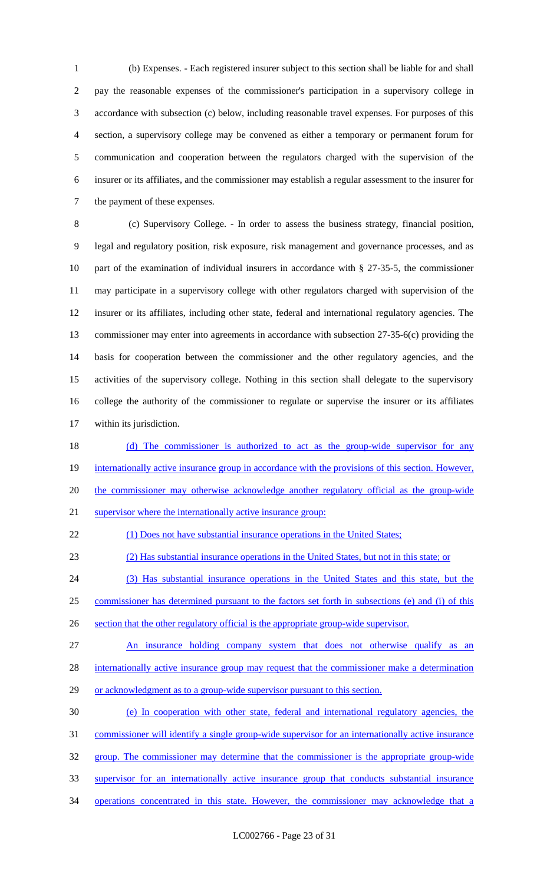(b) Expenses. - Each registered insurer subject to this section shall be liable for and shall pay the reasonable expenses of the commissioner's participation in a supervisory college in accordance with subsection (c) below, including reasonable travel expenses. For purposes of this section, a supervisory college may be convened as either a temporary or permanent forum for communication and cooperation between the regulators charged with the supervision of the insurer or its affiliates, and the commissioner may establish a regular assessment to the insurer for the payment of these expenses.

 (c) Supervisory College. - In order to assess the business strategy, financial position, legal and regulatory position, risk exposure, risk management and governance processes, and as part of the examination of individual insurers in accordance with § 27-35-5, the commissioner may participate in a supervisory college with other regulators charged with supervision of the insurer or its affiliates, including other state, federal and international regulatory agencies. The commissioner may enter into agreements in accordance with subsection 27-35-6(c) providing the basis for cooperation between the commissioner and the other regulatory agencies, and the activities of the supervisory college. Nothing in this section shall delegate to the supervisory college the authority of the commissioner to regulate or supervise the insurer or its affiliates within its jurisdiction.

18 (d) The commissioner is authorized to act as the group-wide supervisor for any 19 internationally active insurance group in accordance with the provisions of this section. However, 20 the commissioner may otherwise acknowledge another regulatory official as the group-wide supervisor where the internationally active insurance group:

(1) Does not have substantial insurance operations in the United States;

(2) Has substantial insurance operations in the United States, but not in this state; or

(3) Has substantial insurance operations in the United States and this state, but the

commissioner has determined pursuant to the factors set forth in subsections (e) and (i) of this

section that the other regulatory official is the appropriate group-wide supervisor.

27 An insurance holding company system that does not otherwise qualify as an

28 internationally active insurance group may request that the commissioner make a determination

29 or acknowledgment as to a group-wide supervisor pursuant to this section.

(e) In cooperation with other state, federal and international regulatory agencies, the

commissioner will identify a single group-wide supervisor for an internationally active insurance

group. The commissioner may determine that the commissioner is the appropriate group-wide

supervisor for an internationally active insurance group that conducts substantial insurance

operations concentrated in this state. However, the commissioner may acknowledge that a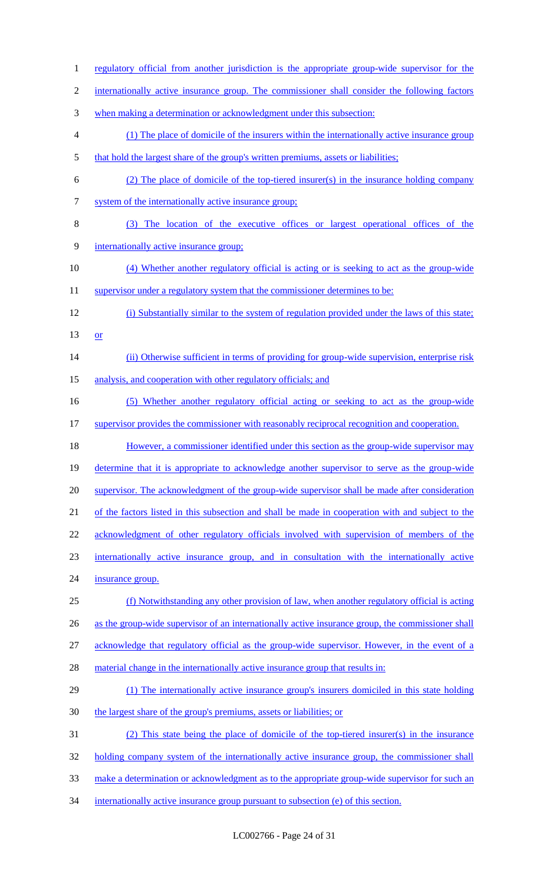when making a determination or acknowledgment under this subsection: (1) The place of domicile of the insurers within the internationally active insurance group 5 that hold the largest share of the group's written premiums, assets or liabilities; (2) The place of domicile of the top-tiered insurer(s) in the insurance holding company system of the internationally active insurance group; (3) The location of the executive offices or largest operational offices of the internationally active insurance group; (4) Whether another regulatory official is acting or is seeking to act as the group-wide 11 supervisor under a regulatory system that the commissioner determines to be: (i) Substantially similar to the system of regulation provided under the laws of this state; or 14 (ii) Otherwise sufficient in terms of providing for group-wide supervision, enterprise risk 15 analysis, and cooperation with other regulatory officials; and (5) Whether another regulatory official acting or seeking to act as the group-wide 17 supervisor provides the commissioner with reasonably reciprocal recognition and cooperation. 18 However, a commissioner identified under this section as the group-wide supervisor may determine that it is appropriate to acknowledge another supervisor to serve as the group-wide 20 supervisor. The acknowledgment of the group-wide supervisor shall be made after consideration of the factors listed in this subsection and shall be made in cooperation with and subject to the acknowledgment of other regulatory officials involved with supervision of members of the internationally active insurance group, and in consultation with the internationally active insurance group. (f) Notwithstanding any other provision of law, when another regulatory official is acting 26 as the group-wide supervisor of an internationally active insurance group, the commissioner shall acknowledge that regulatory official as the group-wide supervisor. However, in the event of a 28 material change in the internationally active insurance group that results in: (1) The internationally active insurance group's insurers domiciled in this state holding the largest share of the group's premiums, assets or liabilities; or (2) This state being the place of domicile of the top-tiered insurer(s) in the insurance 32 holding company system of the internationally active insurance group, the commissioner shall make a determination or acknowledgment as to the appropriate group-wide supervisor for such an 34 internationally active insurance group pursuant to subsection (e) of this section.

1 regulatory official from another jurisdiction is the appropriate group-wide supervisor for the

internationally active insurance group. The commissioner shall consider the following factors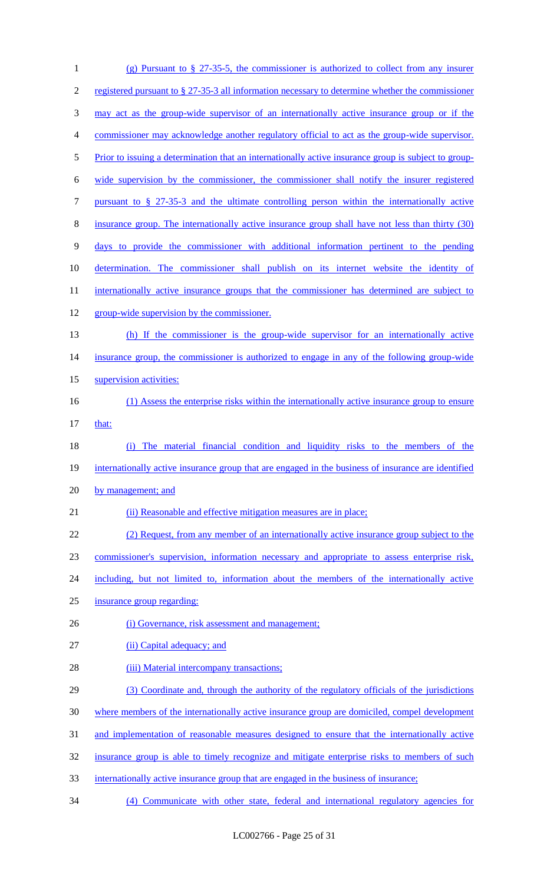| $\mathbf{1}$   | (g) Pursuant to $\S 27-35-5$ , the commissioner is authorized to collect from any insurer            |
|----------------|------------------------------------------------------------------------------------------------------|
| $\overline{2}$ | registered pursuant to § 27-35-3 all information necessary to determine whether the commissioner     |
| 3              | may act as the group-wide supervisor of an internationally active insurance group or if the          |
| $\overline{4}$ | commissioner may acknowledge another regulatory official to act as the group-wide supervisor.        |
| $\mathfrak{S}$ | Prior to issuing a determination that an internationally active insurance group is subject to group- |
| 6              | wide supervision by the commissioner, the commissioner shall notify the insurer registered           |
| $\tau$         | pursuant to $\S$ 27-35-3 and the ultimate controlling person within the internationally active       |
| $8\,$          | insurance group. The internationally active insurance group shall have not less than thirty (30)     |
| 9              | days to provide the commissioner with additional information pertinent to the pending                |
| 10             | determination. The commissioner shall publish on its internet website the identity of                |
| 11             | internationally active insurance groups that the commissioner has determined are subject to          |
| 12             | group-wide supervision by the commissioner.                                                          |
| 13             | (h) If the commissioner is the group-wide supervisor for an internationally active                   |
| 14             | insurance group, the commissioner is authorized to engage in any of the following group-wide         |
| 15             | supervision activities:                                                                              |
| 16             | (1) Assess the enterprise risks within the internationally active insurance group to ensure          |
| 17             | that:                                                                                                |
| 18             | The material financial condition and liquidity risks to the members of the<br>(i)                    |
| 19             | internationally active insurance group that are engaged in the business of insurance are identified  |
| 20             | by management; and                                                                                   |
| 21             | (ii) Reasonable and effective mitigation measures are in place;                                      |
| 22             | (2) Request, from any member of an internationally active insurance group subject to the             |
| 23             | commissioner's supervision, information necessary and appropriate to assess enterprise risk,         |
| 24             | including, but not limited to, information about the members of the internationally active           |
| 25             | insurance group regarding:                                                                           |
| 26             | (i) Governance, risk assessment and management;                                                      |
| 27             | (ii) Capital adequacy; and                                                                           |
| 28             | (iii) Material intercompany transactions;                                                            |
| 29             | (3) Coordinate and, through the authority of the regulatory officials of the jurisdictions           |
| 30             | where members of the internationally active insurance group are domiciled, compel development        |
| 31             | and implementation of reasonable measures designed to ensure that the internationally active         |
| 32             | insurance group is able to timely recognize and mitigate enterprise risks to members of such         |
| 33             | internationally active insurance group that are engaged in the business of insurance;                |
| 34             | (4) Communicate with other state, federal and international regulatory agencies for                  |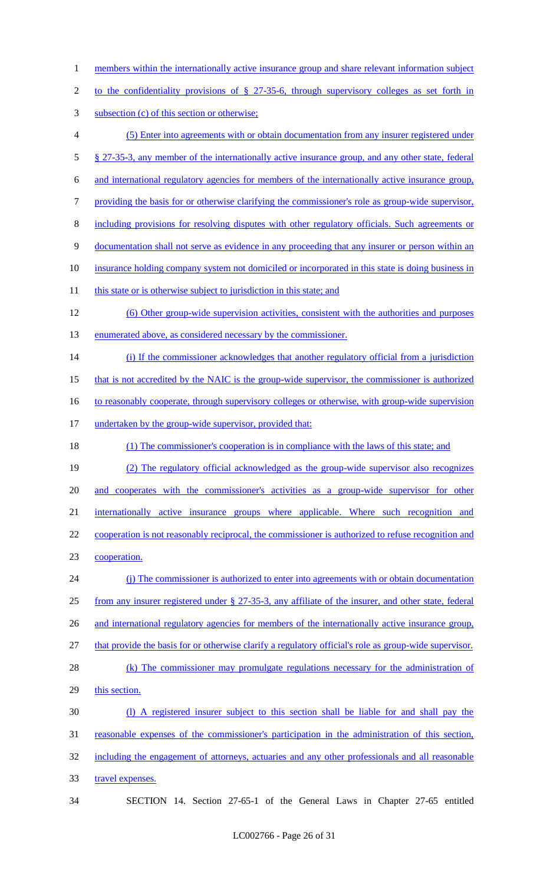- 1 members within the internationally active insurance group and share relevant information subject
- 2 to the confidentiality provisions of § 27-35-6, through supervisory colleges as set forth in
- 3 subsection (c) of this section or otherwise;
- 4 (5) Enter into agreements with or obtain documentation from any insurer registered under 5 § 27-35-3, any member of the internationally active insurance group, and any other state, federal
- 6 and international regulatory agencies for members of the internationally active insurance group,
- 7 providing the basis for or otherwise clarifying the commissioner's role as group-wide supervisor,
- 8 including provisions for resolving disputes with other regulatory officials. Such agreements or
- 9 documentation shall not serve as evidence in any proceeding that any insurer or person within an
- 10 insurance holding company system not domiciled or incorporated in this state is doing business in
- 11 this state or is otherwise subject to jurisdiction in this state; and
- 12 (6) Other group-wide supervision activities, consistent with the authorities and purposes 13 enumerated above, as considered necessary by the commissioner.
- 14 (i) If the commissioner acknowledges that another regulatory official from a jurisdiction
- 15 that is not accredited by the NAIC is the group-wide supervisor, the commissioner is authorized
- 16 to reasonably cooperate, through supervisory colleges or otherwise, with group-wide supervision
- 17 undertaken by the group-wide supervisor, provided that:
- 18 (1) The commissioner's cooperation is in compliance with the laws of this state; and
- 19 (2) The regulatory official acknowledged as the group-wide supervisor also recognizes
- 20 and cooperates with the commissioner's activities as a group-wide supervisor for other
- 21 internationally active insurance groups where applicable. Where such recognition and
- 22 cooperation is not reasonably reciprocal, the commissioner is authorized to refuse recognition and 23 cooperation.
- 24 (j) The commissioner is authorized to enter into agreements with or obtain documentation 25 from any insurer registered under § 27-35-3, any affiliate of the insurer, and other state, federal 26 and international regulatory agencies for members of the internationally active insurance group, 27 that provide the basis for or otherwise clarify a regulatory official's role as group-wide supervisor.
- 28 (k) The commissioner may promulgate regulations necessary for the administration of 29 this section.
- 30 (l) A registered insurer subject to this section shall be liable for and shall pay the 31 reasonable expenses of the commissioner's participation in the administration of this section, 32 including the engagement of attorneys, actuaries and any other professionals and all reasonable 33 travel expenses.
- 

34 SECTION 14. Section 27-65-1 of the General Laws in Chapter 27-65 entitled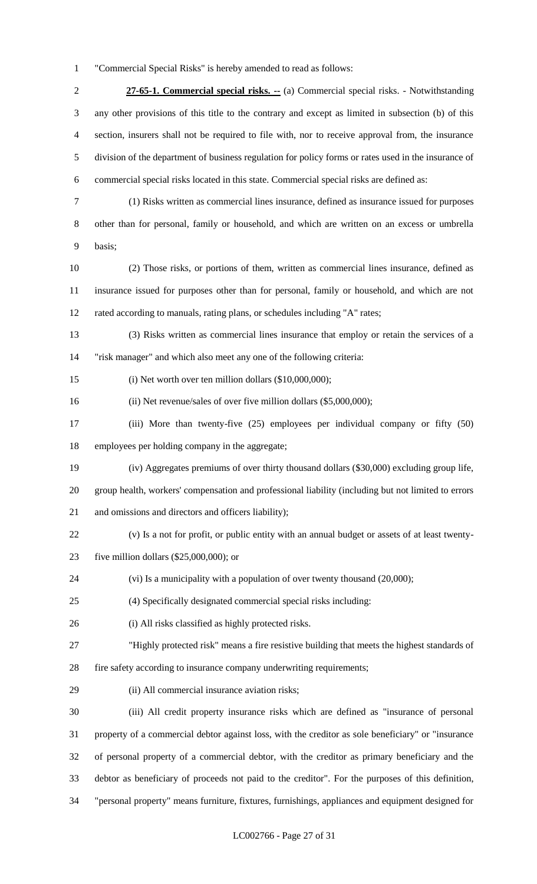"Commercial Special Risks" is hereby amended to read as follows:

 **27-65-1. Commercial special risks. --** (a) Commercial special risks. - Notwithstanding any other provisions of this title to the contrary and except as limited in subsection (b) of this section, insurers shall not be required to file with, nor to receive approval from, the insurance division of the department of business regulation for policy forms or rates used in the insurance of commercial special risks located in this state. Commercial special risks are defined as:

- (1) Risks written as commercial lines insurance, defined as insurance issued for purposes other than for personal, family or household, and which are written on an excess or umbrella basis;
- (2) Those risks, or portions of them, written as commercial lines insurance, defined as insurance issued for purposes other than for personal, family or household, and which are not rated according to manuals, rating plans, or schedules including "A" rates;
- (3) Risks written as commercial lines insurance that employ or retain the services of a "risk manager" and which also meet any one of the following criteria:
- (i) Net worth over ten million dollars (\$10,000,000);
- (ii) Net revenue/sales of over five million dollars (\$5,000,000);
- (iii) More than twenty-five (25) employees per individual company or fifty (50) employees per holding company in the aggregate;
- (iv) Aggregates premiums of over thirty thousand dollars (\$30,000) excluding group life,
- group health, workers' compensation and professional liability (including but not limited to errors and omissions and directors and officers liability);
- (v) Is a not for profit, or public entity with an annual budget or assets of at least twenty-
- five million dollars (\$25,000,000); or
- (vi) Is a municipality with a population of over twenty thousand (20,000);
- (4) Specifically designated commercial special risks including:
- (i) All risks classified as highly protected risks.
- "Highly protected risk" means a fire resistive building that meets the highest standards of
- fire safety according to insurance company underwriting requirements;
- (ii) All commercial insurance aviation risks;

 (iii) All credit property insurance risks which are defined as "insurance of personal property of a commercial debtor against loss, with the creditor as sole beneficiary" or "insurance of personal property of a commercial debtor, with the creditor as primary beneficiary and the debtor as beneficiary of proceeds not paid to the creditor". For the purposes of this definition, "personal property" means furniture, fixtures, furnishings, appliances and equipment designed for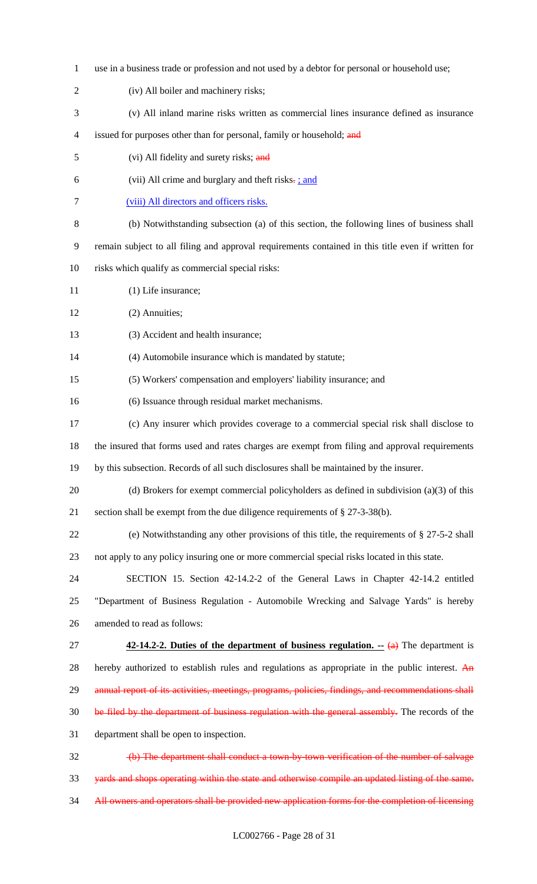use in a business trade or profession and not used by a debtor for personal or household use; (iv) All boiler and machinery risks; (v) All inland marine risks written as commercial lines insurance defined as insurance 4 issued for purposes other than for personal, family or household; and 5 (vi) All fidelity and surety risks; and 6 (vii) All crime and burglary and theft risks $\frac{1}{2}$ ; and (viii) All directors and officers risks. (b) Notwithstanding subsection (a) of this section, the following lines of business shall remain subject to all filing and approval requirements contained in this title even if written for risks which qualify as commercial special risks: 11 (1) Life insurance; (2) Annuities; (3) Accident and health insurance; (4) Automobile insurance which is mandated by statute; (5) Workers' compensation and employers' liability insurance; and (6) Issuance through residual market mechanisms. (c) Any insurer which provides coverage to a commercial special risk shall disclose to the insured that forms used and rates charges are exempt from filing and approval requirements by this subsection. Records of all such disclosures shall be maintained by the insurer. (d) Brokers for exempt commercial policyholders as defined in subdivision (a)(3) of this section shall be exempt from the due diligence requirements of § 27-3-38(b). (e) Notwithstanding any other provisions of this title, the requirements of § 27-5-2 shall not apply to any policy insuring one or more commercial special risks located in this state. SECTION 15. Section 42-14.2-2 of the General Laws in Chapter 42-14.2 entitled "Department of Business Regulation - Automobile Wrecking and Salvage Yards" is hereby amended to read as follows: **42-14.2-2. Duties of the department of business regulation.** -- (a) The department is 28 hereby authorized to establish rules and regulations as appropriate in the public interest. An 29 annual report of its activities, meetings, programs, policies, findings, and recommendations shall 30 be filed by the department of business regulation with the general assembly. The records of the department shall be open to inspection. (b) The department shall conduct a town-by-town verification of the number of salvage yards and shops operating within the state and otherwise compile an updated listing of the same. 34 All owners and operators shall be provided new application forms for the completion of licensing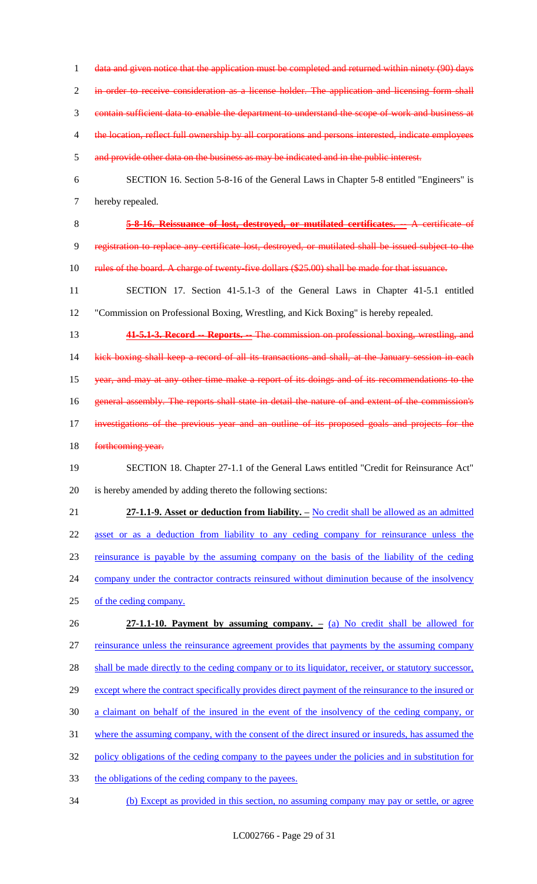1 data and given notice that the application must be completed and returned within ninety (90) days

in order to receive consideration as a license holder. The application and licensing form shall

contain sufficient data to enable the department to understand the scope of work and business at

- 4 the location, reflect full ownership by all corporations and persons interested, indicate employees
- and provide other data on the business as may be indicated and in the public interest.
- SECTION 16. Section 5-8-16 of the General Laws in Chapter 5-8 entitled "Engineers" is hereby repealed.
- **5-8-16. Reissuance of lost, destroyed, or mutilated certificates. --** A certificate of registration to replace any certificate lost, destroyed, or mutilated shall be issued subject to the
- 10 rules of the board. A charge of twenty-five dollars (\$25.00) shall be made for that issuance.
- SECTION 17. Section 41-5.1-3 of the General Laws in Chapter 41-5.1 entitled "Commission on Professional Boxing, Wrestling, and Kick Boxing" is hereby repealed.
- **41-5.1-3. Record -- Reports. --** The commission on professional boxing, wrestling, and

14 kick boxing shall keep a record of all its transactions and shall, at the January session in each year, and may at any other time make a report of its doings and of its recommendations to the 16 general assembly. The reports shall state in detail the nature of and extent of the commission's

- investigations of the previous year and an outline of its proposed goals and projects for the
- 18 forthcoming year.

# SECTION 18. Chapter 27-1.1 of the General Laws entitled "Credit for Reinsurance Act" is hereby amended by adding thereto the following sections:

- **27-1.1-9. Asset or deduction from liability. –** No credit shall be allowed as an admitted asset or as a deduction from liability to any ceding company for reinsurance unless the reinsurance is payable by the assuming company on the basis of the liability of the ceding 24 company under the contractor contracts reinsured without diminution because of the insolvency
- of the ceding company.
- **27-1.1-10. Payment by assuming company. –** (a) No credit shall be allowed for reinsurance unless the reinsurance agreement provides that payments by the assuming company 28 shall be made directly to the ceding company or to its liquidator, receiver, or statutory successor, 29 except where the contract specifically provides direct payment of the reinsurance to the insured or a claimant on behalf of the insured in the event of the insolvency of the ceding company, or where the assuming company, with the consent of the direct insured or insureds, has assumed the policy obligations of the ceding company to the payees under the policies and in substitution for
- the obligations of the ceding company to the payees.
- (b) Except as provided in this section, no assuming company may pay or settle, or agree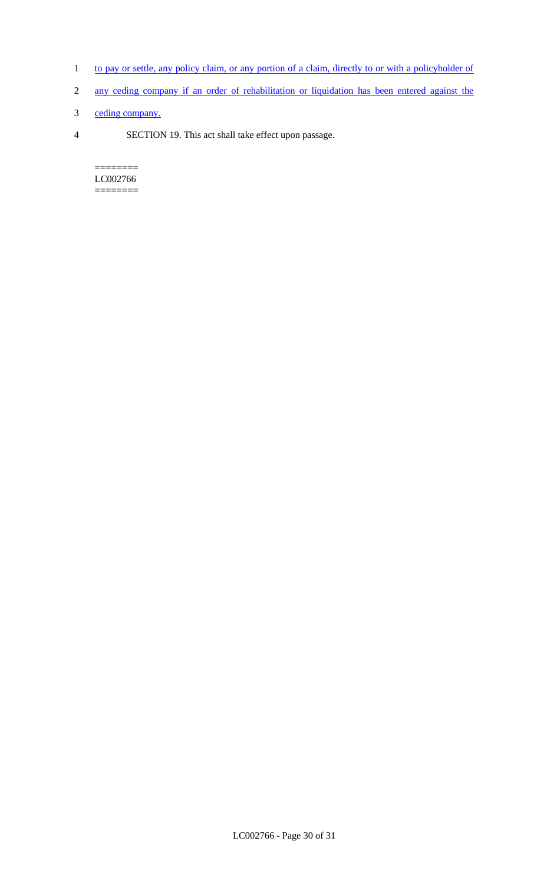- 1 to pay or settle, any policy claim, or any portion of a claim, directly to or with a policyholder of
- 2 any ceding company if an order of rehabilitation or liquidation has been entered against the
- 3 ceding company.
- 4 SECTION 19. This act shall take effect upon passage.

======== LC002766  $=$